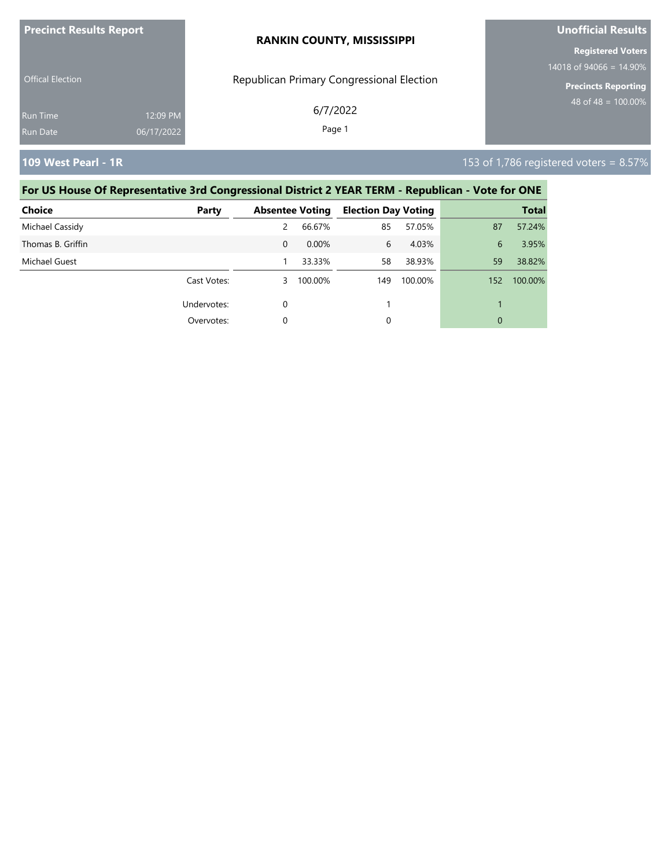| <b>Precinct Results Report</b> |            | <b>RANKIN COUNTY, MISSISSIPPI</b>         | <b>Unofficial Results</b>  |  |
|--------------------------------|------------|-------------------------------------------|----------------------------|--|
|                                |            |                                           | <b>Registered Voters</b>   |  |
|                                |            |                                           | 14018 of 94066 = $14.90\%$ |  |
| <b>Offical Election</b>        |            | Republican Primary Congressional Election | <b>Precincts Reporting</b> |  |
| <b>Run Time</b>                | 12:09 PM   | 6/7/2022                                  | 48 of 48 = $100.00\%$      |  |
| Run Date                       | 06/17/2022 | Page 1                                    |                            |  |
|                                |            |                                           |                            |  |

**109 West Pearl - 1R** 153 of 1,786 registered voters = 8.57%

| <b>Choice</b>     | Party       |          | <b>Absentee Voting</b> | <b>Election Day Voting</b> |         |     | <b>Total</b> |
|-------------------|-------------|----------|------------------------|----------------------------|---------|-----|--------------|
| Michael Cassidy   |             | 2        | 66.67%                 | 85                         | 57.05%  | 87  | 57.24%       |
| Thomas B. Griffin |             | $\Omega$ | 0.00%                  | 6                          | 4.03%   | 6   | 3.95%        |
| Michael Guest     |             |          | 33.33%                 | 58                         | 38.93%  | 59  | 38.82%       |
|                   | Cast Votes: | 3        | 100.00%                | 149                        | 100.00% | 152 | 100.00%      |
|                   | Undervotes: | 0        |                        |                            |         |     |              |
|                   | Overvotes:  | 0        |                        | 0                          |         | 0   |              |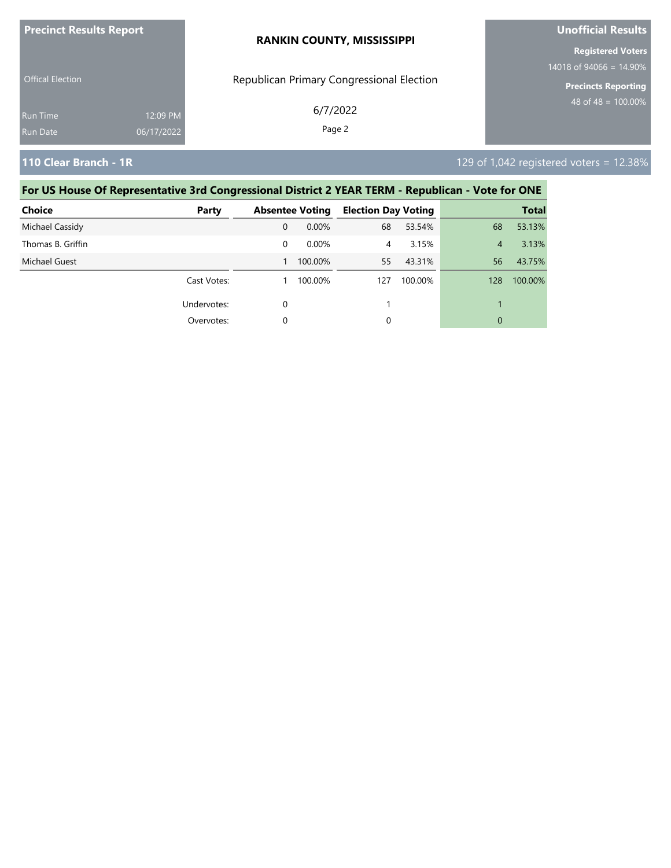| <b>Precinct Results Report</b> |            | <b>RANKIN COUNTY, MISSISSIPPI</b>         | <b>Unofficial Results</b>  |  |
|--------------------------------|------------|-------------------------------------------|----------------------------|--|
|                                |            |                                           | <b>Registered Voters</b>   |  |
| <b>Offical Election</b>        |            | Republican Primary Congressional Election | 14018 of 94066 = $14.90\%$ |  |
|                                |            |                                           | <b>Precincts Reporting</b> |  |
| Run Time                       | 12:09 PM   | 6/7/2022                                  | 48 of 48 = $100.00\%$      |  |
| <b>Run Date</b>                | 06/17/2022 | Page 2                                    |                            |  |
|                                |            |                                           |                            |  |

**110 Clear Branch - 1R** 129 of 1,042 registered voters = 12.38%

| <b>Choice</b>     | Party       |   | <b>Absentee Voting</b> | <b>Election Day Voting</b> |         |     | <b>Total</b> |
|-------------------|-------------|---|------------------------|----------------------------|---------|-----|--------------|
| Michael Cassidy   |             | 0 | 0.00%                  | 68                         | 53.54%  | 68  | 53.13%       |
| Thomas B. Griffin |             | 0 | 0.00%                  | 4                          | 3.15%   | 4   | 3.13%        |
| Michael Guest     |             |   | 100.00%                | 55                         | 43.31%  | 56  | 43.75%       |
|                   | Cast Votes: |   | 100.00%                | 127                        | 100.00% | 128 | 100.00%      |
|                   | Undervotes: | 0 |                        |                            |         |     |              |
|                   | Overvotes:  | 0 |                        | 0                          |         | 0   |              |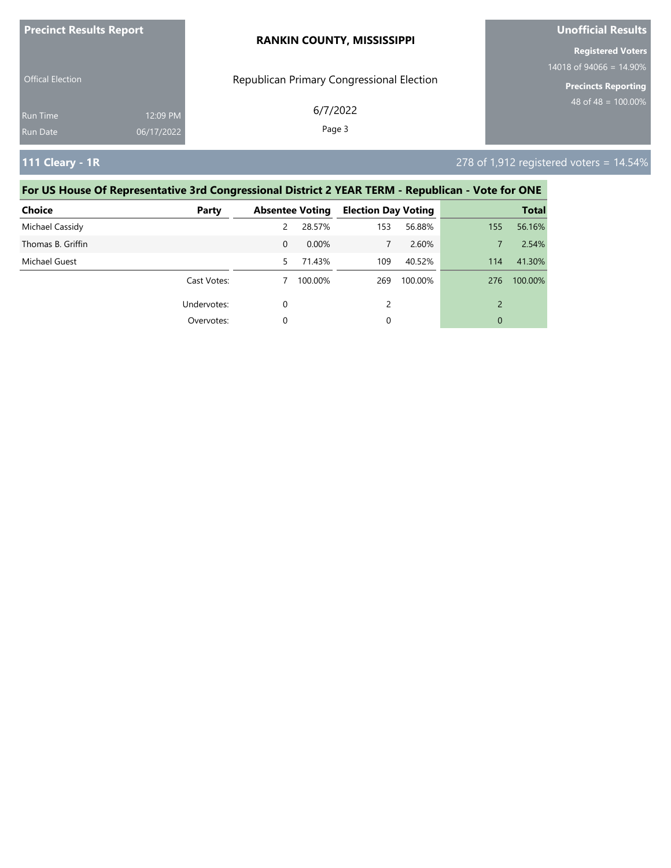| <b>Precinct Results Report</b> |            | <b>RANKIN COUNTY, MISSISSIPPI</b>         | <b>Unofficial Results</b>  |  |
|--------------------------------|------------|-------------------------------------------|----------------------------|--|
|                                |            |                                           | <b>Registered Voters</b>   |  |
| <b>Offical Election</b>        |            |                                           | 14018 of 94066 = $14.90\%$ |  |
|                                |            | Republican Primary Congressional Election | <b>Precincts Reporting</b> |  |
| <b>Run Time</b>                | 12:09 PM   | 6/7/2022                                  | 48 of 48 = $100.00\%$      |  |
| Run Date                       | 06/17/2022 | Page 3                                    |                            |  |
|                                |            |                                           |                            |  |

### **111 Cleary - 1R** 278 of 1,912 registered voters = 14.54%

| <b>Choice</b>     | Party       |          | <b>Absentee Voting</b> | <b>Election Day Voting</b> |         |     | <b>Total</b> |
|-------------------|-------------|----------|------------------------|----------------------------|---------|-----|--------------|
| Michael Cassidy   |             | 2        | 28.57%                 | 153                        | 56.88%  | 155 | 56.16%       |
| Thomas B. Griffin |             | $\Omega$ | 0.00%                  | 7                          | 2.60%   |     | 2.54%        |
| Michael Guest     |             | 5.       | 71.43%                 | 109                        | 40.52%  | 114 | 41.30%       |
|                   | Cast Votes: |          | 100.00%                | 269                        | 100.00% | 276 | 100.00%      |
|                   | Undervotes: | 0        |                        | 2                          |         |     |              |
|                   | Overvotes:  | 0        |                        | 0                          |         | 0   |              |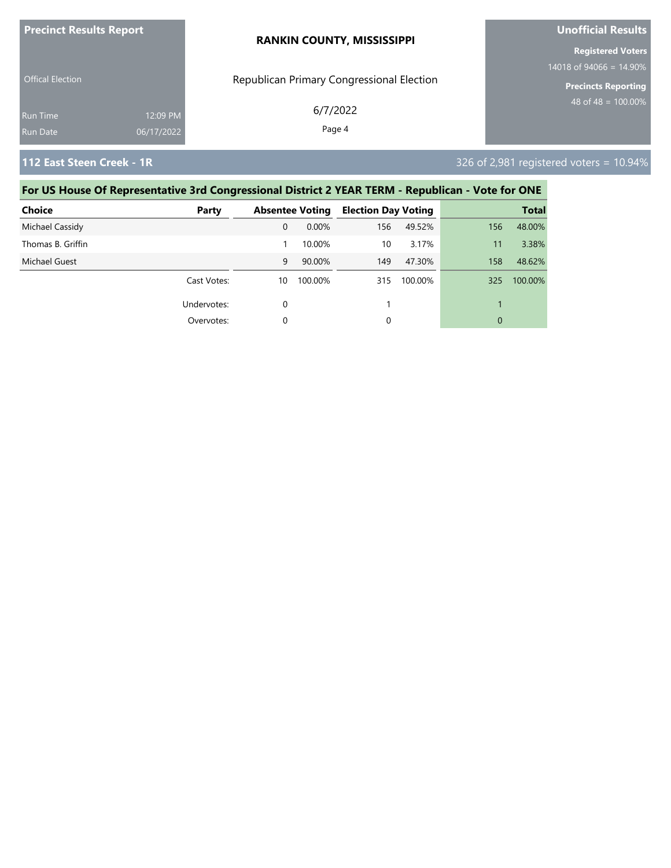| <b>Precinct Results Report</b> |            | <b>RANKIN COUNTY, MISSISSIPPI</b>         | <b>Unofficial Results</b>                             |  |  |
|--------------------------------|------------|-------------------------------------------|-------------------------------------------------------|--|--|
|                                |            |                                           | <b>Registered Voters</b>                              |  |  |
| <b>Offical Election</b>        |            | Republican Primary Congressional Election | 14018 of 94066 = 14.90%<br><b>Precincts Reporting</b> |  |  |
| <b>Run Time</b>                | 12:09 PM   | 6/7/2022                                  | $48 \text{ of } 48 = 100.00\%$                        |  |  |
| Run Date                       | 06/17/2022 | Page 4                                    |                                                       |  |  |

**112 East Steen Creek - 1R** 326 of 2,981 registered voters = 10.94%

| <b>Choice</b>     | Party       |    | <b>Absentee Voting</b> | <b>Election Day Voting</b> |         |     | <b>Total</b> |
|-------------------|-------------|----|------------------------|----------------------------|---------|-----|--------------|
| Michael Cassidy   |             | 0  | 0.00%                  | 156                        | 49.52%  | 156 | 48.00%       |
| Thomas B. Griffin |             |    | 10.00%                 | 10                         | 3.17%   | 11  | 3.38%        |
| Michael Guest     |             | 9  | 90.00%                 | 149                        | 47.30%  | 158 | 48.62%       |
|                   | Cast Votes: | 10 | 100.00%                | 315                        | 100.00% | 325 | 100.00%      |
|                   | Undervotes: | 0  |                        |                            |         |     |              |
|                   | Overvotes:  | 0  |                        | 0                          |         | 0   |              |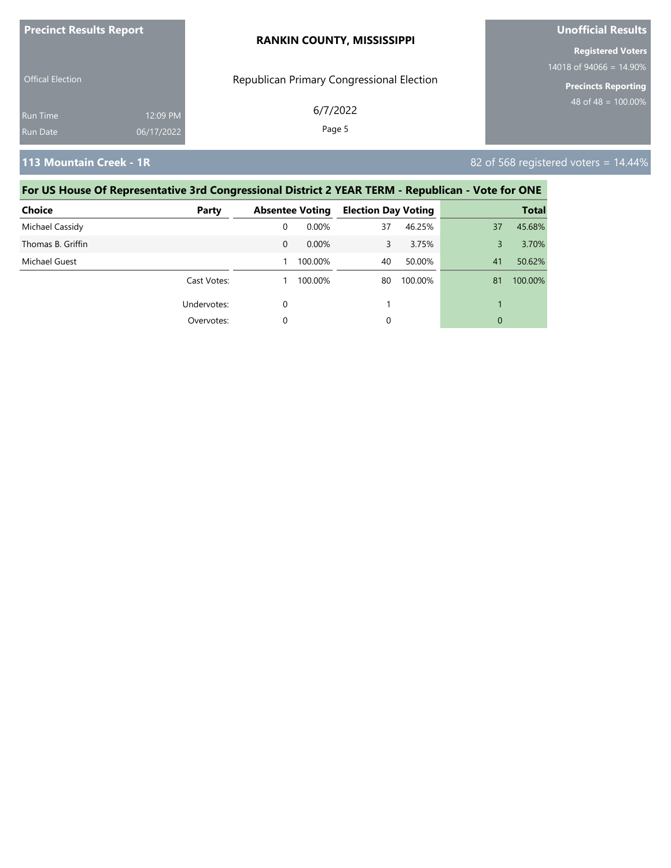| <b>Precinct Results Report</b> |                        | <b>RANKIN COUNTY, MISSISSIPPI</b>         | <b>Unofficial Results</b>                              |  |
|--------------------------------|------------------------|-------------------------------------------|--------------------------------------------------------|--|
|                                |                        |                                           | <b>Registered Voters</b><br>14018 of 94066 = $14.90\%$ |  |
| <b>Offical Election</b>        |                        | Republican Primary Congressional Election | <b>Precincts Reporting</b>                             |  |
| <b>Run Time</b><br>Run Date    | 12:09 PM<br>06/17/2022 | 6/7/2022<br>Page 5                        | 48 of 48 = $100.00\%$                                  |  |
|                                |                        |                                           |                                                        |  |

**113 Mountain Creek - 1R** 82 of 568 registered voters = 14.44%

| <b>Choice</b>     | Party       |          | <b>Absentee Voting</b> | <b>Election Day Voting</b> |         |    | <b>Total</b> |
|-------------------|-------------|----------|------------------------|----------------------------|---------|----|--------------|
| Michael Cassidy   |             | 0        | $0.00\%$               | 37                         | 46.25%  | 37 | 45.68%       |
| Thomas B. Griffin |             | $\Omega$ | 0.00%                  | 3                          | 3.75%   | 3  | 3.70%        |
| Michael Guest     |             |          | 100.00%                | 40                         | 50.00%  | 41 | 50.62%       |
|                   | Cast Votes: |          | 100.00%                | 80                         | 100.00% | 81 | 100.00%      |
|                   | Undervotes: | 0        |                        |                            |         |    |              |
|                   | Overvotes:  |          |                        | 0                          |         | 0  |              |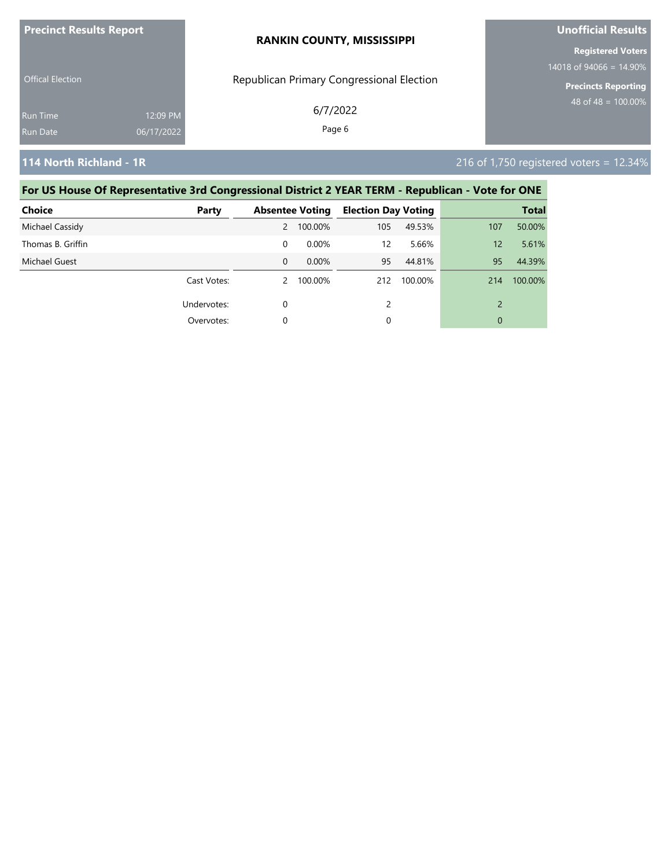| <b>Precinct Results Report</b> |            | <b>RANKIN COUNTY, MISSISSIPPI</b>         | <b>Unofficial Results</b><br><b>Registered Voters</b><br>$14018$ of 94066 = 14.90% |  |
|--------------------------------|------------|-------------------------------------------|------------------------------------------------------------------------------------|--|
|                                |            |                                           |                                                                                    |  |
| <b>Offical Election</b>        |            | Republican Primary Congressional Election | <b>Precincts Reporting</b>                                                         |  |
| <b>Run Time</b>                | 12:09 PM   | 6/7/2022                                  | 48 of $48 = 100.00\%$                                                              |  |
| Run Date                       | 06/17/2022 | Page 6                                    |                                                                                    |  |

**114 North Richland - 1R** 216 of 1,750 registered voters = 12.34%

| <b>Choice</b>     | Party       |                | <b>Absentee Voting</b> | <b>Election Day Voting</b> |         |     | <b>Total</b> |
|-------------------|-------------|----------------|------------------------|----------------------------|---------|-----|--------------|
| Michael Cassidy   |             | $\overline{2}$ | 100.00%                | 105                        | 49.53%  | 107 | 50.00%       |
| Thomas B. Griffin |             | 0              | $0.00\%$               | 12                         | 5.66%   | 12  | 5.61%        |
| Michael Guest     |             | $\Omega$       | $0.00\%$               | 95                         | 44.81%  | 95  | 44.39%       |
|                   | Cast Votes: | $\mathcal{P}$  | 100.00%                | 212                        | 100.00% | 214 | 100.00%      |
|                   | Undervotes: | 0              |                        | $\mathcal{P}$              |         |     |              |
|                   | Overvotes:  | 0              |                        | 0                          |         | 0   |              |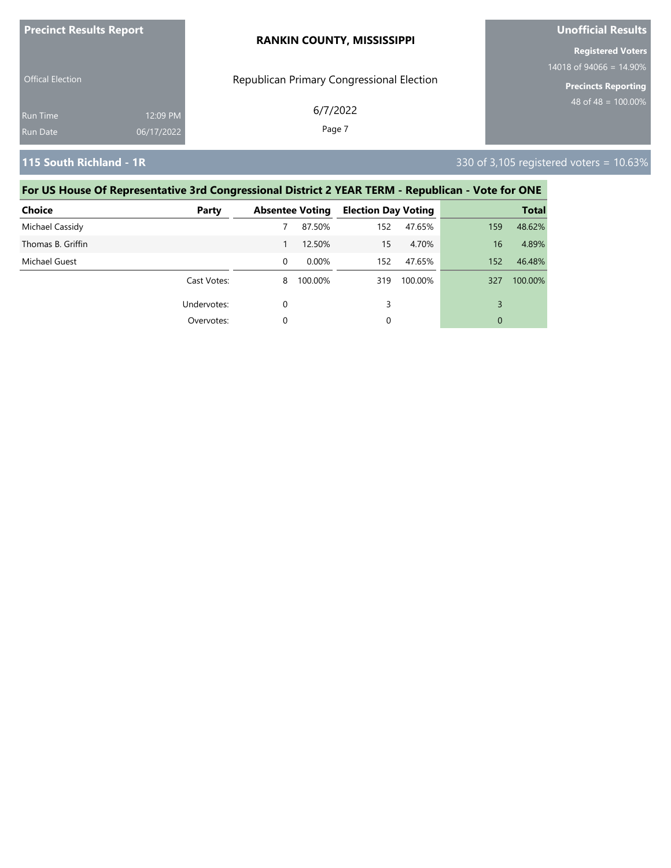| <b>Precinct Results Report</b>     |                        | <b>RANKIN COUNTY, MISSISSIPPI</b>         | <b>Unofficial Results</b>                              |  |
|------------------------------------|------------------------|-------------------------------------------|--------------------------------------------------------|--|
|                                    |                        |                                           | <b>Registered Voters</b><br>14018 of 94066 = $14.90\%$ |  |
| <b>Offical Election</b>            |                        | Republican Primary Congressional Election | <b>Precincts Reporting</b>                             |  |
| <b>Run Time</b><br><b>Run Date</b> | 12:09 PM<br>06/17/2022 | 6/7/2022<br>Page 7                        | $148$ of 48 = 100.00% ,                                |  |
|                                    |                        |                                           |                                                        |  |

### **115 South Richland - 1R** 330 of 3,105 registered voters = 10.63%

| Choice            | Party       |          | <b>Absentee Voting</b> | <b>Election Day Voting</b> |         |     | <b>Total</b> |
|-------------------|-------------|----------|------------------------|----------------------------|---------|-----|--------------|
| Michael Cassidy   |             |          | 87.50%                 | 152                        | 47.65%  | 159 | 48.62%       |
| Thomas B. Griffin |             |          | 12.50%                 | 15                         | 4.70%   | 16  | 4.89%        |
| Michael Guest     |             | $\Omega$ | $0.00\%$               | 152                        | 47.65%  | 152 | 46.48%       |
|                   | Cast Votes: | 8        | 100.00%                | 319                        | 100.00% | 327 | 100.00%      |
|                   | Undervotes: | 0        |                        | 3                          |         | 3   |              |
|                   | Overvotes:  |          |                        | 0                          |         | 0   |              |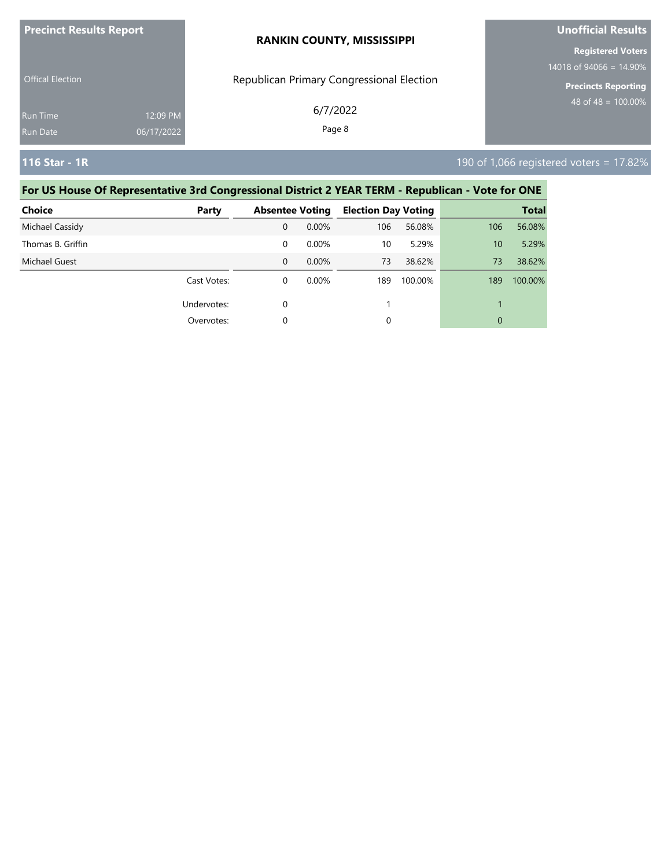| <b>Precinct Results Report</b>     |                        | <b>RANKIN COUNTY, MISSISSIPPI</b>         | <b>Unofficial Results</b>                             |  |  |
|------------------------------------|------------------------|-------------------------------------------|-------------------------------------------------------|--|--|
| <b>Offical Election</b>            |                        | Republican Primary Congressional Election | <b>Registered Voters</b><br>$14018$ of 94066 = 14.90% |  |  |
|                                    |                        |                                           | <b>Precincts Reporting</b>                            |  |  |
| <b>Run Time</b><br><b>Run Date</b> | 12:09 PM<br>06/17/2022 | 6/7/2022<br>Page 8                        | $48 \text{ of } 48 = 100.00\%$                        |  |  |
| 116 Star - 1R                      |                        |                                           | 190 of 1,066 registered voters = $17.82\%$            |  |  |

| <b>Choice</b>     | Party       | <b>Absentee Voting</b> |          | <b>Election Day Voting</b> |         |     | <b>Total</b> |
|-------------------|-------------|------------------------|----------|----------------------------|---------|-----|--------------|
| Michael Cassidy   |             | $\mathbf{0}$           | 0.00%    | 106                        | 56.08%  | 106 | 56.08%       |
| Thomas B. Griffin |             | 0                      | $0.00\%$ | 10                         | 5.29%   | 10  | 5.29%        |
| Michael Guest     |             | $\Omega$               | $0.00\%$ | 73                         | 38.62%  | 73  | 38.62%       |
|                   | Cast Votes: | 0                      | 0.00%    | 189                        | 100.00% | 189 | 100.00%      |
|                   | Undervotes: | $\Omega$               |          |                            |         | 1   |              |
|                   | Overvotes:  | $\Omega$               |          | 0                          |         | 0   |              |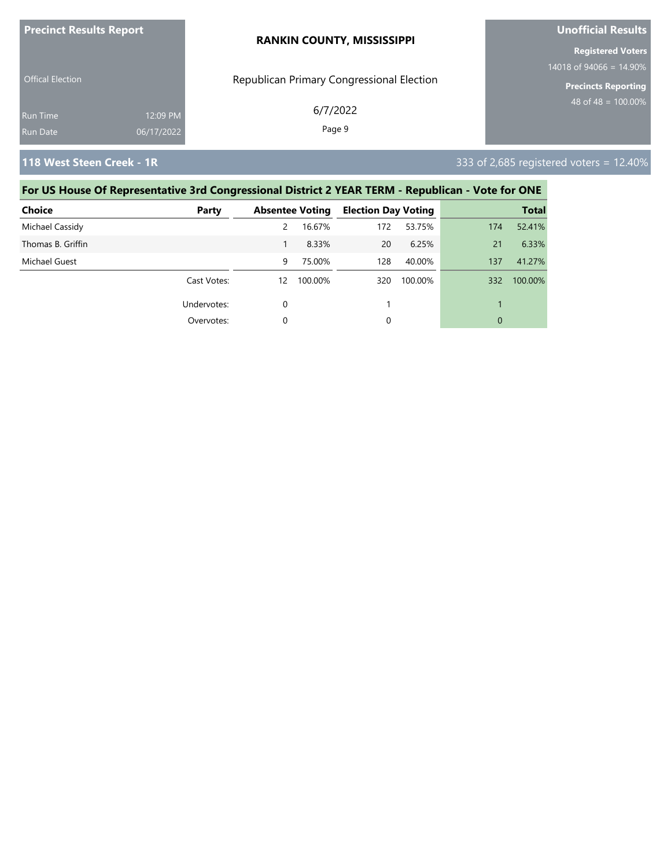| <b>Precinct Results Report</b> |                        | <b>RANKIN COUNTY, MISSISSIPPI</b>         | Unofficial Results                                    |  |  |
|--------------------------------|------------------------|-------------------------------------------|-------------------------------------------------------|--|--|
|                                |                        |                                           | <b>Registered Voters</b><br>$14018$ of 94066 = 14.90% |  |  |
| <b>Offical Election</b>        |                        | Republican Primary Congressional Election | <b>Precincts Reporting</b>                            |  |  |
| Run Time<br>Run Date           | 12:09 PM<br>06/17/2022 | 6/7/2022<br>Page 9                        | 48 of 48 = $100.00\%$                                 |  |  |
|                                |                        |                                           |                                                       |  |  |

### **118 West Steen Creek - 1R** 333 of 2,685 registered voters = 12.40%

| <b>Choice</b>     | Party       |          | <b>Absentee Voting</b> | <b>Election Day Voting</b> |         |     | <b>Total</b> |
|-------------------|-------------|----------|------------------------|----------------------------|---------|-----|--------------|
| Michael Cassidy   |             | 2        | 16.67%                 | 172                        | 53.75%  | 174 | 52.41%       |
| Thomas B. Griffin |             |          | 8.33%                  | 20                         | 6.25%   | 21  | 6.33%        |
| Michael Guest     |             | 9        | 75.00%                 | 128                        | 40.00%  | 137 | 41.27%       |
|                   | Cast Votes: | 12       | 100.00%                | 320                        | 100.00% | 332 | 100.00%      |
|                   | Undervotes: | $\Omega$ |                        |                            |         |     |              |
|                   | Overvotes:  | $\Omega$ |                        | 0                          |         | 0   |              |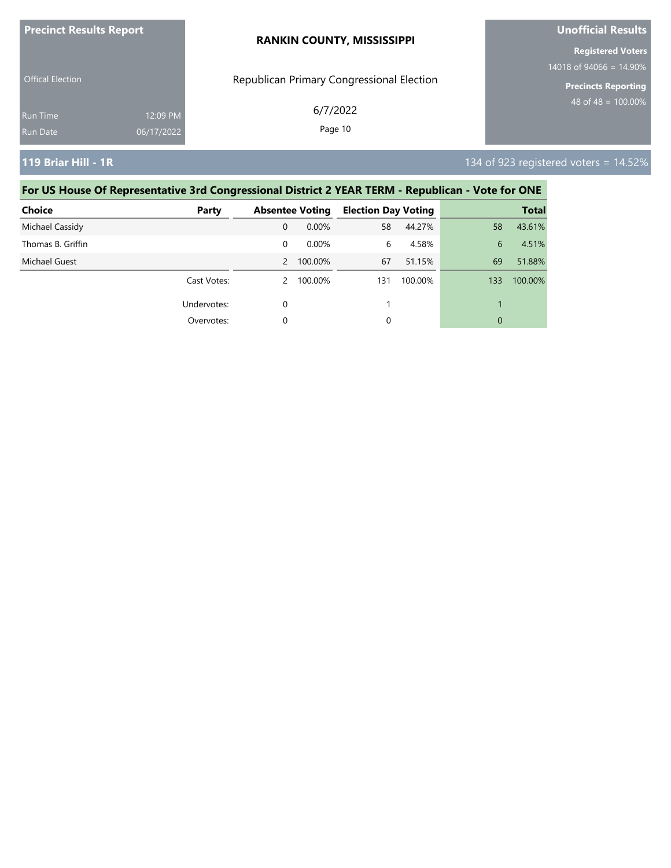| <b>Precinct Results Report</b> |            | <b>RANKIN COUNTY, MISSISSIPPI</b>         | <b>Unofficial Results</b>  |  |
|--------------------------------|------------|-------------------------------------------|----------------------------|--|
|                                |            |                                           | <b>Registered Voters</b>   |  |
| <b>Offical Election</b>        |            |                                           | 14018 of 94066 = $14.90\%$ |  |
|                                |            | Republican Primary Congressional Election | <b>Precincts Reporting</b> |  |
| <b>Run Time</b>                | 12:09 PM   | 6/7/2022                                  | $48$ of 48 = 100.00%       |  |
| Run Date                       | 06/17/2022 | Page 10                                   |                            |  |
|                                |            |                                           |                            |  |

**119 Briar Hill - 1R** 14.52%

| <b>Choice</b>     | Party       |          | <b>Absentee Voting</b> | <b>Election Day Voting</b> |         |     | <b>Total</b> |
|-------------------|-------------|----------|------------------------|----------------------------|---------|-----|--------------|
| Michael Cassidy   |             | 0        | $0.00\%$               | 58                         | 44.27%  | 58  | 43.61%       |
| Thomas B. Griffin |             | $\Omega$ | $0.00\%$               | 6                          | 4.58%   | 6   | 4.51%        |
| Michael Guest     |             | 2        | 100.00%                | 67                         | 51.15%  | 69  | 51.88%       |
|                   | Cast Votes: |          | 100.00%                | 131                        | 100.00% | 133 | 100.00%      |
|                   | Undervotes: | $\Omega$ |                        |                            |         |     |              |
|                   | Overvotes:  | $\Omega$ |                        | 0                          |         | 0   |              |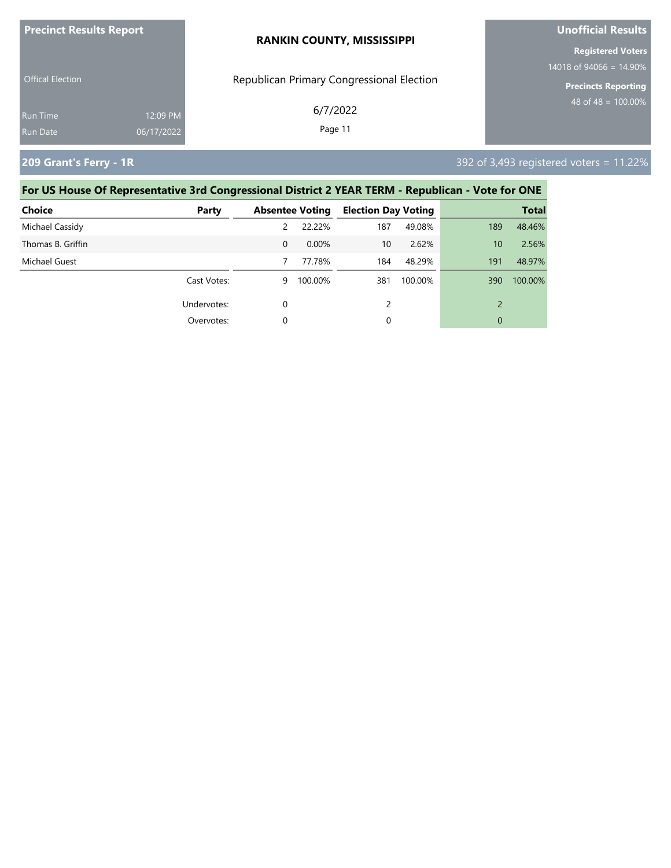| <b>Precinct Results Report</b> |            | <b>RANKIN COUNTY, MISSISSIPPI</b>         | Unofficial Results                                     |  |  |
|--------------------------------|------------|-------------------------------------------|--------------------------------------------------------|--|--|
|                                |            |                                           | <b>Registered Voters</b><br>14018 of 94066 = $14.90\%$ |  |  |
| <b>Offical Election</b>        |            | Republican Primary Congressional Election | <b>Precincts Reporting</b>                             |  |  |
| Run Time                       | 12:09 PM   | 6/7/2022                                  | $148$ of 48 = 100.00% ,                                |  |  |
| Run Date                       | 06/17/2022 | Page 11                                   |                                                        |  |  |

**209 Grant's Ferry - 1R** 392 of 3,493 registered voters = 11.22%

| <b>Choice</b>     | Party       |               | <b>Absentee Voting</b> | <b>Election Day Voting</b> |         |                          | <b>Total</b> |
|-------------------|-------------|---------------|------------------------|----------------------------|---------|--------------------------|--------------|
| Michael Cassidy   |             | $\mathcal{P}$ | 22.22%                 | 187                        | 49.08%  | 189                      | 48.46%       |
| Thomas B. Griffin |             | $\Omega$      | 0.00%                  | 10                         | 2.62%   | 10                       | 2.56%        |
| Michael Guest     |             |               | 77.78%                 | 184                        | 48.29%  | 191                      | 48.97%       |
|                   | Cast Votes: | 9             | 100.00%                | 381                        | 100.00% | 390                      | 100.00%      |
|                   | Undervotes: | 0             |                        | $\mathcal{P}$              |         | $\overline{\phantom{a}}$ |              |
|                   | Overvotes:  | 0             |                        | 0                          |         | 0                        |              |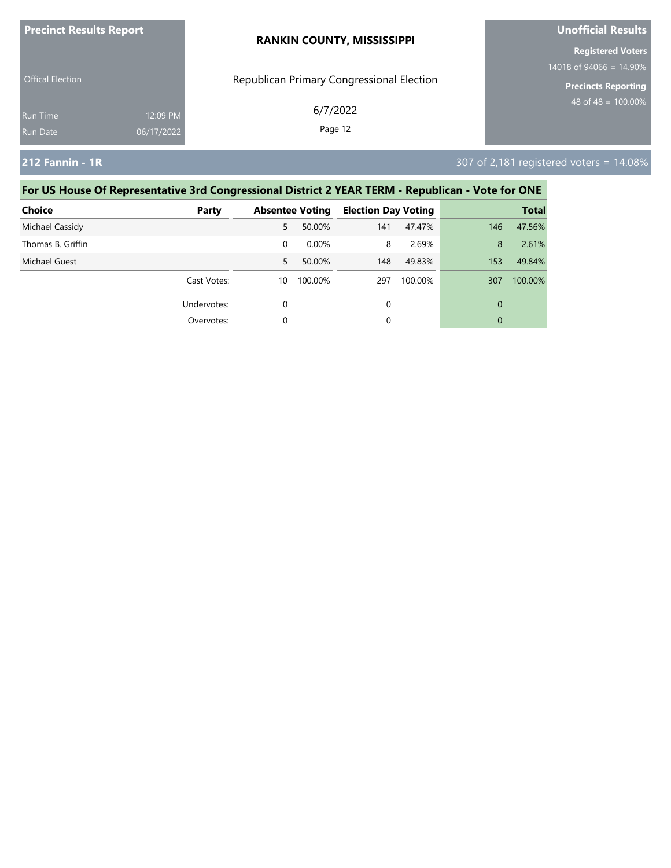| <b>Precinct Results Report</b> |            | <b>RANKIN COUNTY, MISSISSIPPI</b>         | <b>Unofficial Results</b>  |  |
|--------------------------------|------------|-------------------------------------------|----------------------------|--|
|                                |            |                                           | <b>Registered Voters</b>   |  |
|                                |            |                                           | $14018$ of 94066 = 14.90%  |  |
| <b>Offical Election</b>        |            | Republican Primary Congressional Election | <b>Precincts Reporting</b> |  |
| <b>Run Time</b>                | 12:09 PM   | 6/7/2022                                  | 48 of 48 = $100.00\%$      |  |
| <b>Run Date</b>                | 06/17/2022 | Page 12                                   |                            |  |
|                                |            |                                           |                            |  |

## **212 Fannin - 1R** 307 of 2,181 registered voters = 14.08%

| <b>Choice</b>     | Party       |    | <b>Absentee Voting</b> | <b>Election Day Voting</b> |         |     | <b>Total</b> |
|-------------------|-------------|----|------------------------|----------------------------|---------|-----|--------------|
| Michael Cassidy   |             | 5  | 50.00%                 | 141                        | 47.47%  | 146 | 47.56%       |
| Thomas B. Griffin |             | 0  | 0.00%                  | 8                          | 2.69%   | 8   | 2.61%        |
| Michael Guest     |             | 5. | 50.00%                 | 148                        | 49.83%  | 153 | 49.84%       |
|                   | Cast Votes: | 10 | 100.00%                | 297                        | 100.00% | 307 | 100.00%      |
|                   | Undervotes: | 0  |                        | 0                          |         | 0   |              |
|                   | Overvotes:  | 0  |                        | 0                          |         | 0   |              |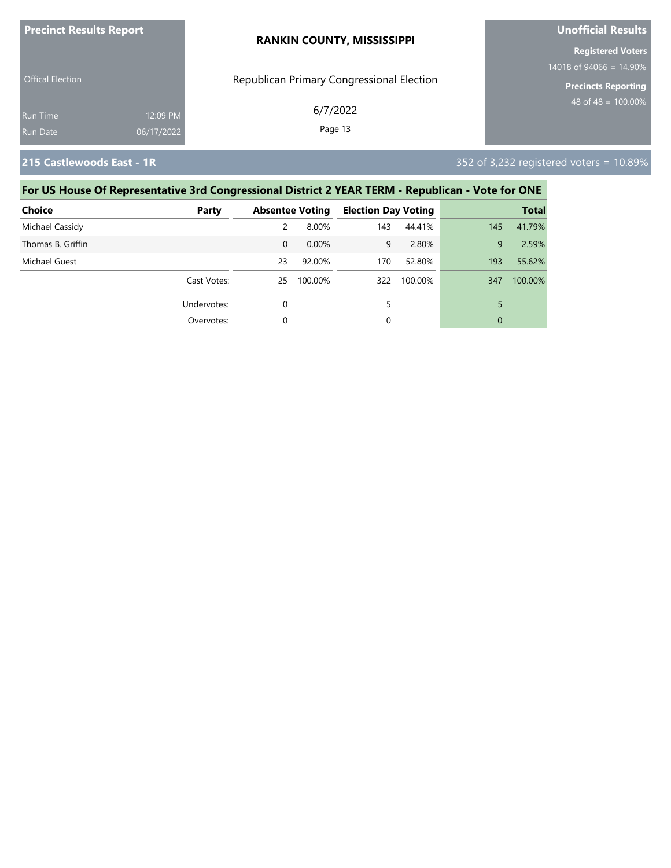| <b>Precinct Results Report</b> |            | <b>RANKIN COUNTY, MISSISSIPPI</b>         | <b>Unofficial Results</b>                         |  |  |
|--------------------------------|------------|-------------------------------------------|---------------------------------------------------|--|--|
|                                |            |                                           | <b>Registered Voters</b>                          |  |  |
| <b>Offical Election</b>        |            | Republican Primary Congressional Election | 14018 of 94066 = $14.90\%$<br>Precincts Reporting |  |  |
| <b>Run Time</b>                | 12:09 PM   | 6/7/2022                                  | 48 of 48 = $100.00\%$                             |  |  |
| Run Date                       | 06/17/2022 | Page 13                                   |                                                   |  |  |

**215 Castlewoods East - 1R** 352 of 3,232 registered voters = 10.89%

| <b>Choice</b>     | Party       |          | <b>Absentee Voting</b> | <b>Election Day Voting</b> |         |     | <b>Total</b> |
|-------------------|-------------|----------|------------------------|----------------------------|---------|-----|--------------|
| Michael Cassidy   |             | 2        | 8.00%                  | 143                        | 44.41%  | 145 | 41.79%       |
| Thomas B. Griffin |             | $\Omega$ | 0.00%                  | 9                          | 2.80%   | 9   | 2.59%        |
| Michael Guest     |             | 23       | 92.00%                 | 170                        | 52.80%  | 193 | 55.62%       |
|                   | Cast Votes: | 25       | 100.00%                | 322                        | 100.00% | 347 | 100.00%      |
|                   | Undervotes: | 0        |                        |                            |         | 5   |              |
|                   | Overvotes:  | 0        |                        | 0                          |         | 0   |              |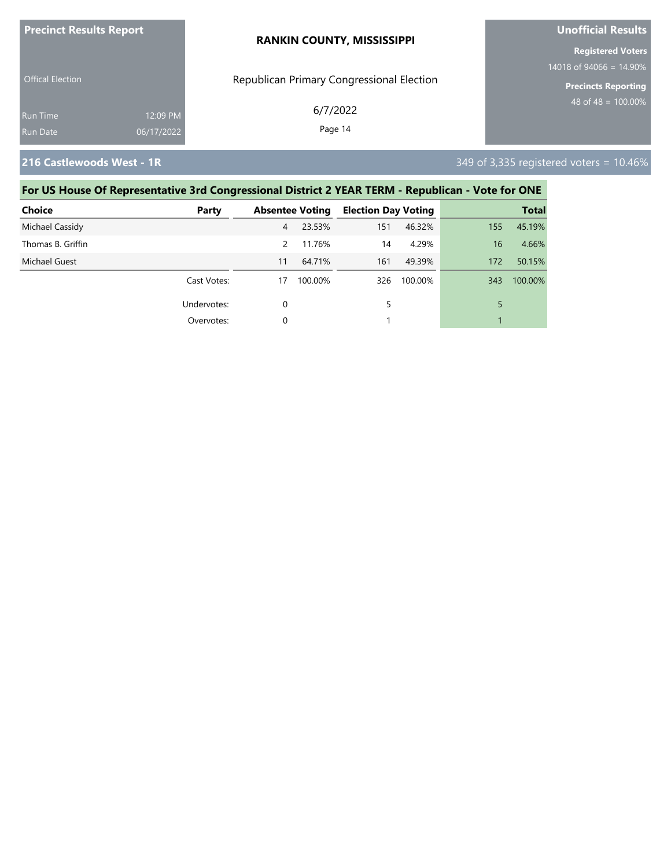| <b>Precinct Results Report</b> |            | <b>RANKIN COUNTY, MISSISSIPPI</b>         | <b>Unofficial Results</b>                             |  |  |
|--------------------------------|------------|-------------------------------------------|-------------------------------------------------------|--|--|
|                                |            |                                           | <b>Registered Voters</b><br>$14018$ of 94066 = 14.90% |  |  |
| <b>Offical Election</b>        |            | Republican Primary Congressional Election | <b>Precincts Reporting</b>                            |  |  |
| Run Time                       | 12:09 PM   | 6/7/2022                                  | 48 of 48 = $100.00\%$                                 |  |  |
| Run Date                       | 06/17/2022 | Page 14                                   |                                                       |  |  |

**216 Castlewoods West - 1R** 349 of 3,335 registered voters = 10.46%

| <b>Choice</b>     | Party       |                | <b>Absentee Voting</b> | <b>Election Day Voting</b> |         |     | <b>Total</b> |
|-------------------|-------------|----------------|------------------------|----------------------------|---------|-----|--------------|
| Michael Cassidy   |             | $\overline{4}$ | 23.53%                 | 151                        | 46.32%  | 155 | 45.19%       |
| Thomas B. Griffin |             | $\mathcal{P}$  | 11.76%                 | 14                         | 4.29%   | 16  | 4.66%        |
| Michael Guest     |             | 11             | 64.71%                 | 161                        | 49.39%  | 172 | 50.15%       |
|                   | Cast Votes: | 17             | 100.00%                | 326                        | 100.00% | 343 | 100.00%      |
|                   | Undervotes: | $\Omega$       |                        | 5                          |         | 5   |              |
|                   | Overvotes:  | $\Omega$       |                        |                            |         |     |              |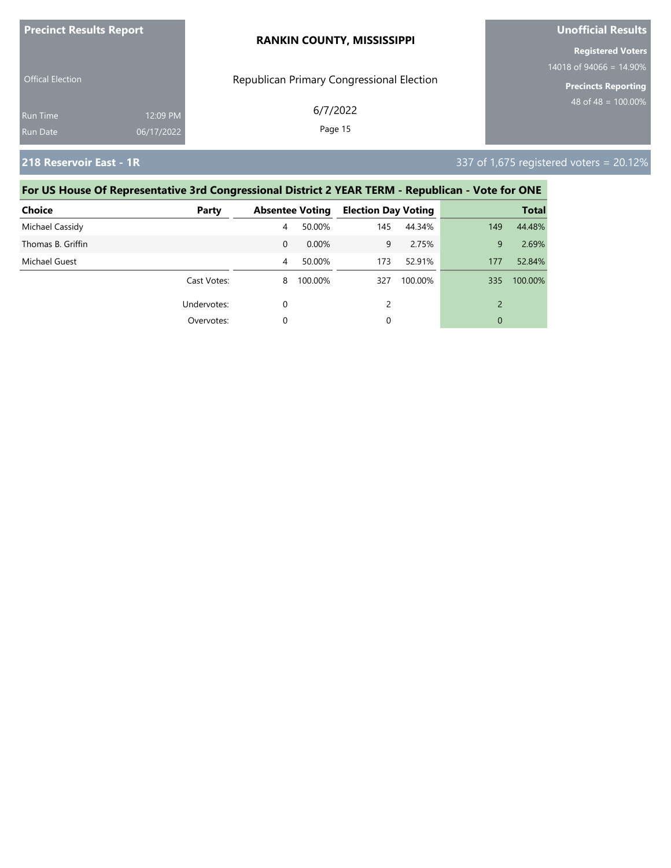| <b>Precinct Results Report</b> |            | <b>RANKIN COUNTY, MISSISSIPPI</b>         | <b>Unofficial Results</b>                              |  |  |
|--------------------------------|------------|-------------------------------------------|--------------------------------------------------------|--|--|
|                                |            |                                           | <b>Registered Voters</b><br>14018 of 94066 = $14.90\%$ |  |  |
| <b>Offical Election</b>        |            | Republican Primary Congressional Election | Precincts Reporting                                    |  |  |
| <b>Run Time</b>                | 12:09 PM   | 6/7/2022                                  | 48 of 48 = $100.00\%$                                  |  |  |
| <b>Run Date</b>                | 06/17/2022 | Page 15                                   |                                                        |  |  |

**218 Reservoir East - 1R** 337 of 1,675 registered voters = 20.12%

| Choice            | Party       |          | <b>Absentee Voting</b> | <b>Election Day Voting</b> |         |     | <b>Total</b> |
|-------------------|-------------|----------|------------------------|----------------------------|---------|-----|--------------|
| Michael Cassidy   |             | 4        | 50.00%                 | 145                        | 44.34%  | 149 | 44.48%       |
| Thomas B. Griffin |             | $\Omega$ | $0.00\%$               | 9                          | 2.75%   | 9   | 2.69%        |
| Michael Guest     |             | 4        | 50.00%                 | 173                        | 52.91%  | 177 | 52.84%       |
|                   | Cast Votes: | 8        | 100.00%                | 327                        | 100.00% | 335 | 100.00%      |
|                   | Undervotes: | 0        |                        | 2                          |         |     |              |
|                   | Overvotes:  | 0        |                        | 0                          |         | 0   |              |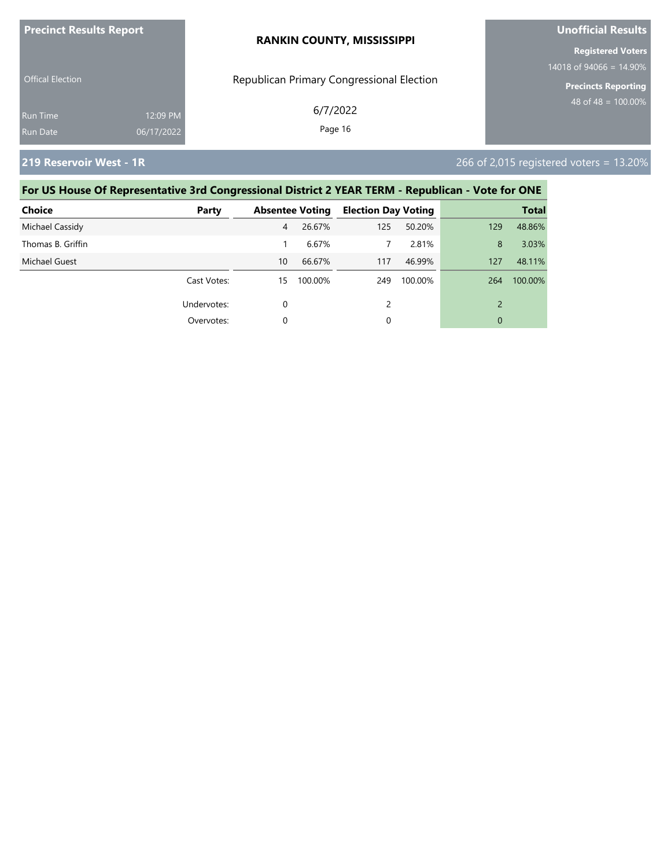| <b>Precinct Results Report</b> |            | <b>RANKIN COUNTY, MISSISSIPPI</b>         | Unofficial Results         |  |
|--------------------------------|------------|-------------------------------------------|----------------------------|--|
|                                |            |                                           | <b>Registered Voters</b>   |  |
|                                |            |                                           | $14018$ of 94066 = 14.90%  |  |
| <b>Offical Election</b>        |            | Republican Primary Congressional Election | <b>Precincts Reporting</b> |  |
| Run Time                       | 12:09 PM   | 6/7/2022                                  | $148$ of 48 = 100.00% ,    |  |
| Run Date                       | 06/17/2022 | Page 16                                   |                            |  |
|                                |            |                                           |                            |  |

**219 Reservoir West - 1R** 266 of 2,015 registered voters = 13.20%

| <b>Choice</b>     | Party       |    | <b>Absentee Voting</b> | <b>Election Day Voting</b> |         |     | <b>Total</b> |
|-------------------|-------------|----|------------------------|----------------------------|---------|-----|--------------|
| Michael Cassidy   |             | 4  | 26.67%                 | 125                        | 50.20%  | 129 | 48.86%       |
| Thomas B. Griffin |             |    | 6.67%                  | 7                          | 2.81%   | 8   | 3.03%        |
| Michael Guest     |             | 10 | 66.67%                 | 117                        | 46.99%  | 127 | 48.11%       |
|                   | Cast Votes: | 15 | 100.00%                | 249                        | 100.00% | 264 | 100.00%      |
|                   | Undervotes: | 0  |                        | $\mathcal{P}$              |         |     |              |
|                   | Overvotes:  | 0  |                        | 0                          |         | 0   |              |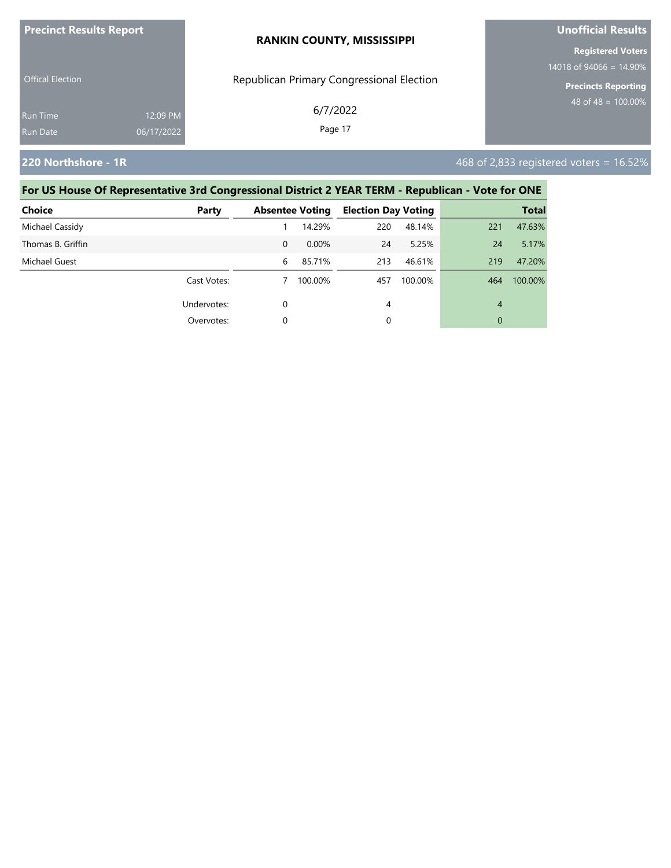| <b>Precinct Results Report</b>     |                        | <b>RANKIN COUNTY, MISSISSIPPI</b>         | <b>Unofficial Results</b>                              |  |
|------------------------------------|------------------------|-------------------------------------------|--------------------------------------------------------|--|
| <b>Offical Election</b>            |                        |                                           | <b>Registered Voters</b><br>14018 of 94066 = $14.90\%$ |  |
|                                    |                        | Republican Primary Congressional Election | <b>Precincts Reporting</b>                             |  |
| <b>Run Time</b><br><b>Run Date</b> | 12:09 PM<br>06/17/2022 | 6/7/2022<br>Page 17                       | 48 of 48 = $100.00\%$                                  |  |
|                                    |                        |                                           |                                                        |  |

**220 Northshore - 1R 16.52% 220 Northshore - 1R 468 of 2,833 registered voters = 16.52%** 

| <b>Choice</b>     | Party       |          | <b>Absentee Voting</b> | <b>Election Day Voting</b> |         |     | <b>Total</b> |
|-------------------|-------------|----------|------------------------|----------------------------|---------|-----|--------------|
| Michael Cassidy   |             |          | 14.29%                 | 220                        | 48.14%  | 221 | 47.63%       |
| Thomas B. Griffin |             | $\Omega$ | 0.00%                  | 24                         | 5.25%   | 24  | 5.17%        |
| Michael Guest     |             | 6        | 85.71%                 | 213                        | 46.61%  | 219 | 47.20%       |
|                   | Cast Votes: |          | 100.00%                | 457                        | 100.00% | 464 | 100.00%      |
|                   | Undervotes: | 0        |                        | 4                          |         | 4   |              |
|                   | Overvotes:  | 0        |                        | 0                          |         | 0   |              |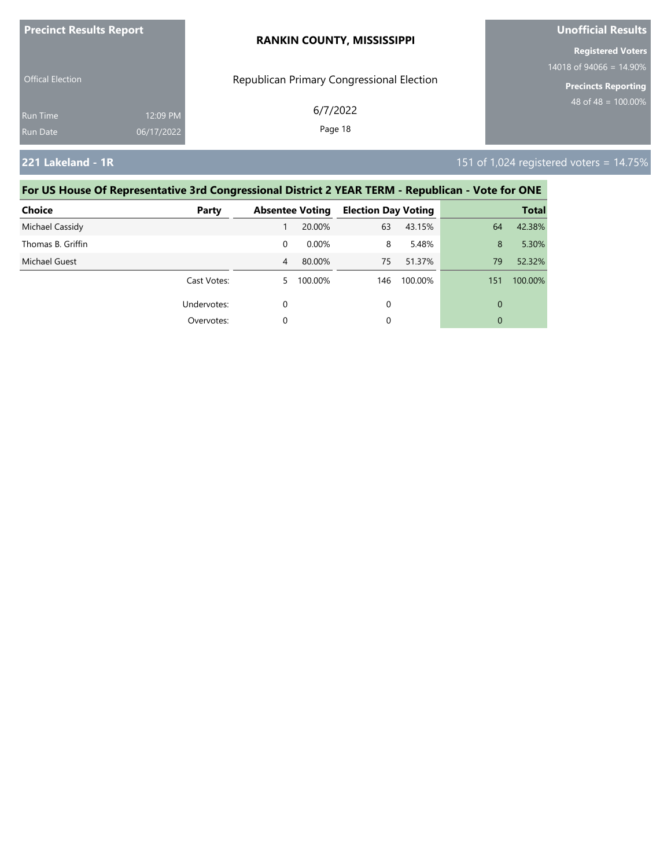| <b>Precinct Results Report</b> |            | <b>RANKIN COUNTY, MISSISSIPPI</b>         | <b>Unofficial Results</b>  |  |  |
|--------------------------------|------------|-------------------------------------------|----------------------------|--|--|
|                                |            |                                           | <b>Registered Voters</b>   |  |  |
|                                |            |                                           | 14018 of 94066 = $14.90\%$ |  |  |
| <b>Offical Election</b>        |            | Republican Primary Congressional Election | <b>Precincts Reporting</b> |  |  |
| <b>Run Time</b>                | 12:09 PM   | 6/7/2022                                  | 48 of 48 = $100.00\%$      |  |  |
| Run Date                       | 06/17/2022 | Page 18                                   |                            |  |  |
|                                |            |                                           |                            |  |  |

**221 Lakeland - 1R** 151 of 1,024 registered voters = 14.75%

| <b>Choice</b>     | Party       |    | <b>Absentee Voting</b> | <b>Election Day Voting</b> |         |     | <b>Total</b> |
|-------------------|-------------|----|------------------------|----------------------------|---------|-----|--------------|
| Michael Cassidy   |             |    | 20.00%                 | 63                         | 43.15%  | 64  | 42.38%       |
| Thomas B. Griffin |             | 0  | 0.00%                  | 8                          | 5.48%   | 8   | 5.30%        |
| Michael Guest     |             | 4  | 80.00%                 | 75                         | 51.37%  | 79  | 52.32%       |
|                   | Cast Votes: | 5. | 100.00%                | 146                        | 100.00% | 151 | 100.00%      |
|                   | Undervotes: | 0  |                        | 0                          |         | 0   |              |
|                   | Overvotes:  | 0  |                        | 0                          |         | 0   |              |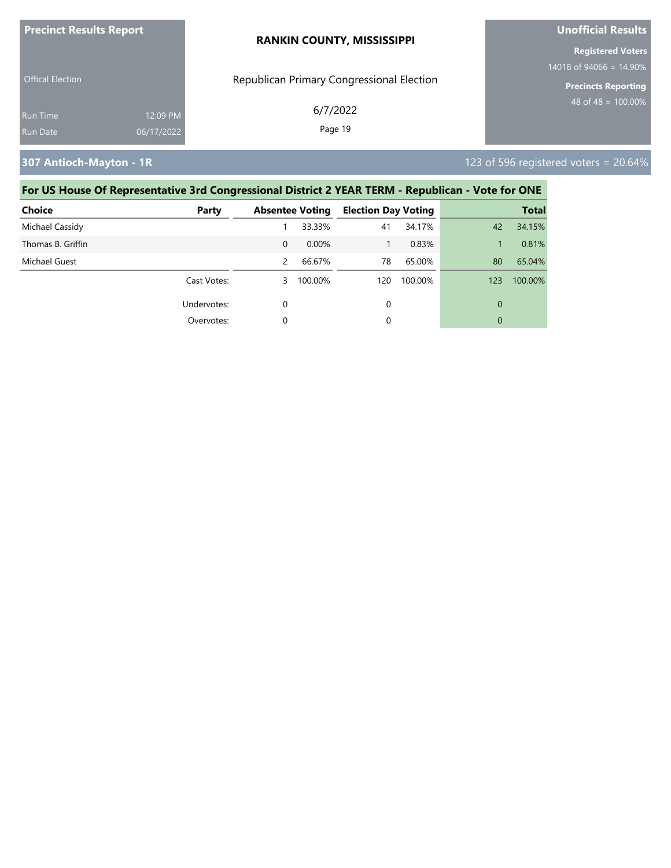| <b>Precinct Results Report</b>                        | <b>RANKIN COUNTY, MISSISSIPPI</b>         | <b>Unofficial Results</b>                                |  |  |
|-------------------------------------------------------|-------------------------------------------|----------------------------------------------------------|--|--|
|                                                       |                                           | <b>Registered Voters</b>                                 |  |  |
| <b>Offical Election</b>                               | Republican Primary Congressional Election | 14018 of 94066 = $14.90\%$<br><b>Precincts Reporting</b> |  |  |
| 12:09 PM<br><b>Run Time</b><br>06/17/2022<br>Run Date | 6/7/2022<br>Page 19                       | 48 of 48 = $100.00\%$                                    |  |  |

**307 Antioch-Mayton - 1R** 123 of 596 registered voters = 20.64%

| <b>Choice</b>     | Party       |          | <b>Absentee Voting</b> | <b>Election Day Voting</b> |         |     | <b>Total</b> |
|-------------------|-------------|----------|------------------------|----------------------------|---------|-----|--------------|
| Michael Cassidy   |             |          | 33.33%                 | 41                         | 34.17%  | 42  | 34.15%       |
| Thomas B. Griffin |             | $\Omega$ | $0.00\%$               |                            | 0.83%   |     | 0.81%        |
| Michael Guest     |             | 2        | 66.67%                 | 78                         | 65.00%  | 80  | 65.04%       |
|                   | Cast Votes: | 3        | 100.00%                | 120                        | 100.00% | 123 | 100.00%      |
|                   | Undervotes: | 0        |                        | 0                          |         | 0   |              |
|                   | Overvotes:  | 0        |                        | 0                          |         | 0   |              |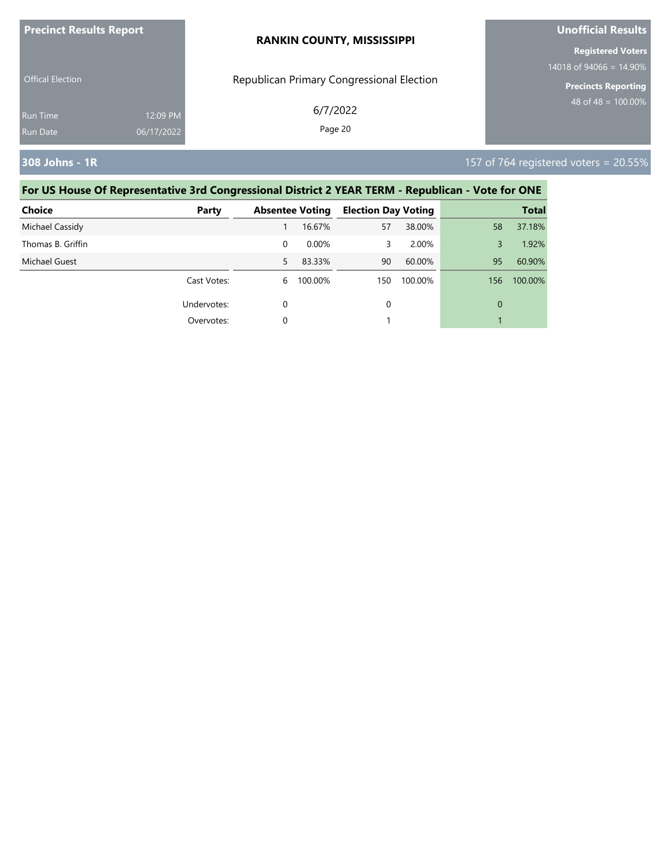| <b>Precinct Results Report</b> |            | <b>RANKIN COUNTY, MISSISSIPPI</b>         | <b>Unofficial Results</b>  |  |
|--------------------------------|------------|-------------------------------------------|----------------------------|--|
|                                |            |                                           | <b>Registered Voters</b>   |  |
|                                |            |                                           | 14018 of 94066 = $14.90\%$ |  |
| <b>Offical Election</b>        |            | Republican Primary Congressional Election | <b>Precincts Reporting</b> |  |
| <b>Run Time</b>                | 12:09 PM   | 6/7/2022                                  | 48 of 48 = $100.00\%$      |  |
| <b>Run Date</b>                | 06/17/2022 | Page 20                                   |                            |  |
|                                |            |                                           |                            |  |

**308 Johns - 1R** 157 of 764 registered voters = 20.55%

| <b>Choice</b>     | Party       |    | <b>Absentee Voting</b> | <b>Election Day Voting</b> |         |     | <b>Total</b> |
|-------------------|-------------|----|------------------------|----------------------------|---------|-----|--------------|
| Michael Cassidy   |             |    | 16.67%                 | 57                         | 38.00%  | 58  | 37.18%       |
| Thomas B. Griffin |             | 0  | 0.00%                  | 3                          | 2.00%   | 3   | 1.92%        |
| Michael Guest     |             | 5. | 83.33%                 | 90                         | 60.00%  | 95  | 60.90%       |
|                   | Cast Votes: | 6  | 100.00%                | 150                        | 100.00% | 156 | 100.00%      |
|                   | Undervotes: | 0  |                        | 0                          |         | 0   |              |
|                   | Overvotes:  | 0  |                        |                            |         |     |              |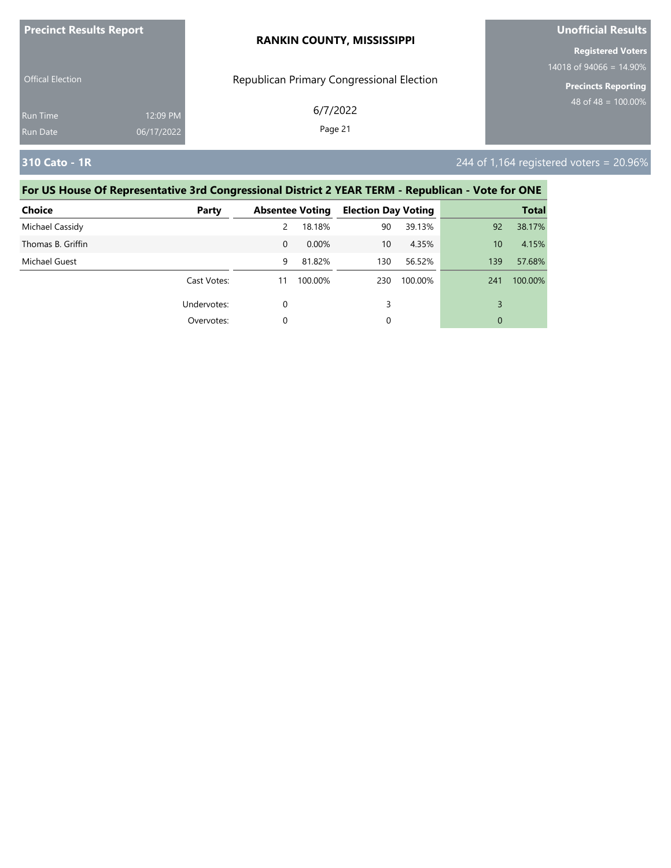| <b>Precinct Results Report</b> |            | <b>RANKIN COUNTY, MISSISSIPPI</b>         | Unofficial Results         |  |  |
|--------------------------------|------------|-------------------------------------------|----------------------------|--|--|
|                                |            |                                           | <b>Registered Voters</b>   |  |  |
|                                |            |                                           | 14018 of 94066 = 14.90%    |  |  |
| <b>Offical Election</b>        |            | Republican Primary Congressional Election | <b>Precincts Reporting</b> |  |  |
| <b>Run Time</b>                | 12:09 PM   | 6/7/2022                                  | 48 of 48 = $100.00\%$      |  |  |
| <b>Run Date</b>                | 06/17/2022 | Page 21                                   |                            |  |  |

## **310 Cato - 1R** 244 of 1,164 registered voters = 20.96%

| <b>Choice</b>     | Party       |          | <b>Absentee Voting</b> | <b>Election Day Voting</b> |         |     | <b>Total</b> |
|-------------------|-------------|----------|------------------------|----------------------------|---------|-----|--------------|
| Michael Cassidy   |             | 2        | 18.18%                 | 90                         | 39.13%  | 92  | 38.17%       |
| Thomas B. Griffin |             | $\Omega$ | 0.00%                  | 10                         | 4.35%   | 10  | 4.15%        |
| Michael Guest     |             | 9        | 81.82%                 | 130                        | 56.52%  | 139 | 57.68%       |
|                   | Cast Votes: | 11       | 100.00%                | 230                        | 100.00% | 241 | 100.00%      |
|                   | Undervotes: | 0        |                        | 3                          |         | 3   |              |
|                   | Overvotes:  | 0        |                        | 0                          |         | 0   |              |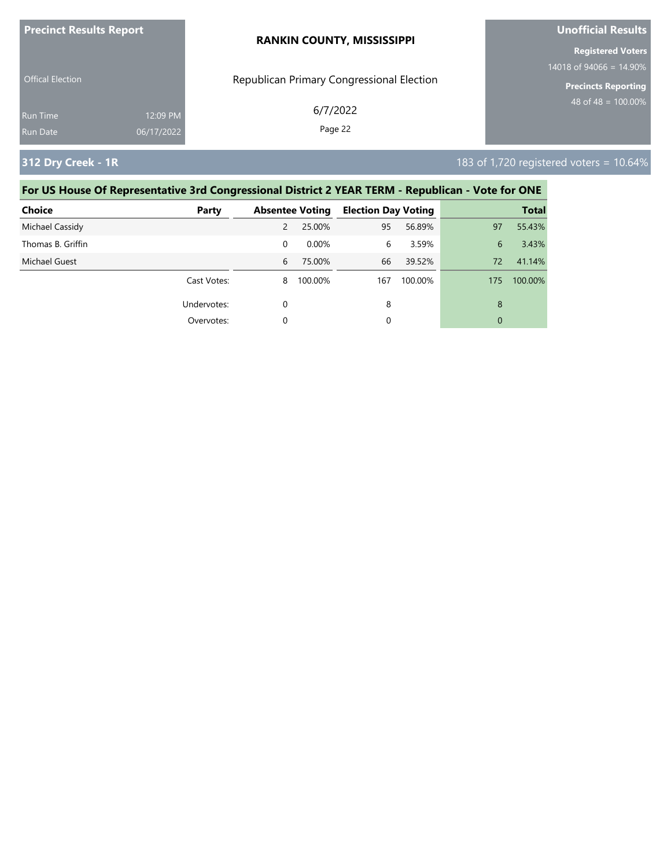| <b>Precinct Results Report</b> |            | <b>RANKIN COUNTY, MISSISSIPPI</b>         | <b>Unofficial Results</b>                         |  |
|--------------------------------|------------|-------------------------------------------|---------------------------------------------------|--|
|                                |            |                                           | <b>Registered Voters</b>                          |  |
| <b>Offical Election</b>        |            | Republican Primary Congressional Election | 14018 of 94066 = $14.90\%$<br>Precincts Reporting |  |
|                                |            |                                           | 48 of 48 = $100.00\%$                             |  |
| <b>Run Time</b>                | 12:09 PM   | 6/7/2022                                  |                                                   |  |
| Run Date                       | 06/17/2022 | Page 22                                   |                                                   |  |

**312 Dry Creek - 1R** 183 of 1,720 registered voters = 10.64%

| <b>Choice</b>     | Party       |   | <b>Absentee Voting</b> | <b>Election Day Voting</b> |         |     | <b>Total</b> |
|-------------------|-------------|---|------------------------|----------------------------|---------|-----|--------------|
| Michael Cassidy   |             | 2 | 25.00%                 | 95                         | 56.89%  | 97  | 55.43%       |
| Thomas B. Griffin |             | 0 | 0.00%                  | 6                          | 3.59%   | 6   | 3.43%        |
| Michael Guest     |             | 6 | 75.00%                 | 66                         | 39.52%  | 72  | 41.14%       |
|                   | Cast Votes: | 8 | 100.00%                | 167                        | 100.00% | 175 | 100.00%      |
|                   | Undervotes: | 0 |                        | 8                          |         | 8   |              |
|                   | Overvotes:  | 0 |                        | 0                          |         | 0   |              |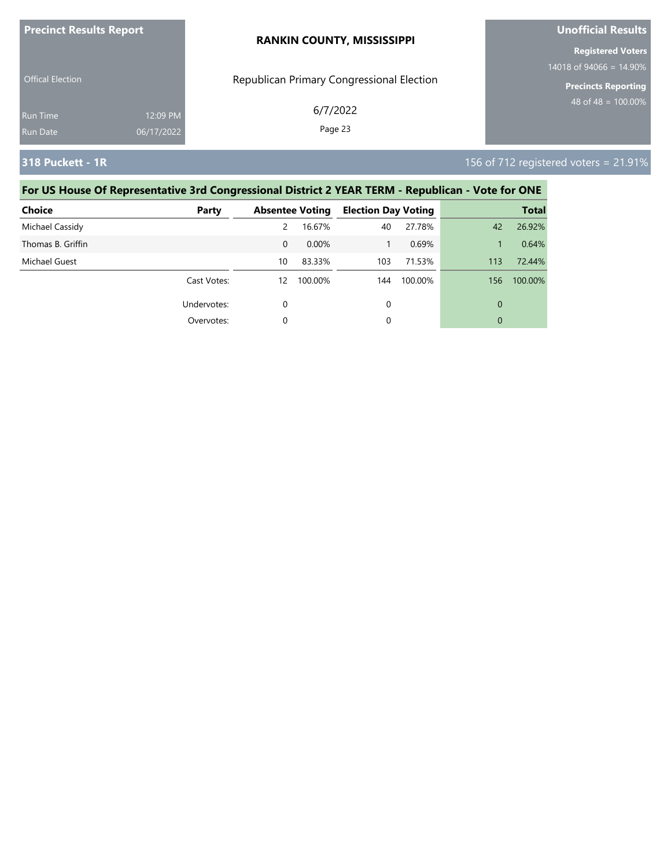| <b>Precinct Results Report</b> |            | <b>RANKIN COUNTY, MISSISSIPPI</b>         | Unofficial Results         |  |  |
|--------------------------------|------------|-------------------------------------------|----------------------------|--|--|
|                                |            |                                           | <b>Registered Voters</b>   |  |  |
|                                |            |                                           | 14018 of 94066 = $14.90\%$ |  |  |
| <b>Offical Election</b>        |            | Republican Primary Congressional Election | <b>Precincts Reporting</b> |  |  |
| <b>Run Time</b>                | 12:09 PM   | 6/7/2022                                  | 48 of 48 = $100.00\%$      |  |  |
| Run Date                       | 06/17/2022 | Page 23                                   |                            |  |  |

**318 Puckett - 1R** 156 of 712 registered voters = 21.91%

| <b>Choice</b>     | Party       |          | <b>Absentee Voting</b> | <b>Election Day Voting</b> |         |             | <b>Total</b> |
|-------------------|-------------|----------|------------------------|----------------------------|---------|-------------|--------------|
| Michael Cassidy   |             | 2        | 16.67%                 | 40                         | 27.78%  | 42          | 26.92%       |
| Thomas B. Griffin |             | $\Omega$ | $0.00\%$               |                            | 0.69%   |             | 0.64%        |
| Michael Guest     |             | 10       | 83.33%                 | 103                        | 71.53%  | 113         | 72.44%       |
|                   | Cast Votes: | 12       | 100.00%                | 144                        | 100.00% | 156         | 100.00%      |
|                   | Undervotes: | $\Omega$ |                        | 0                          |         | $\mathbf 0$ |              |
|                   | Overvotes:  | $\Omega$ |                        | 0                          |         | $\mathbf 0$ |              |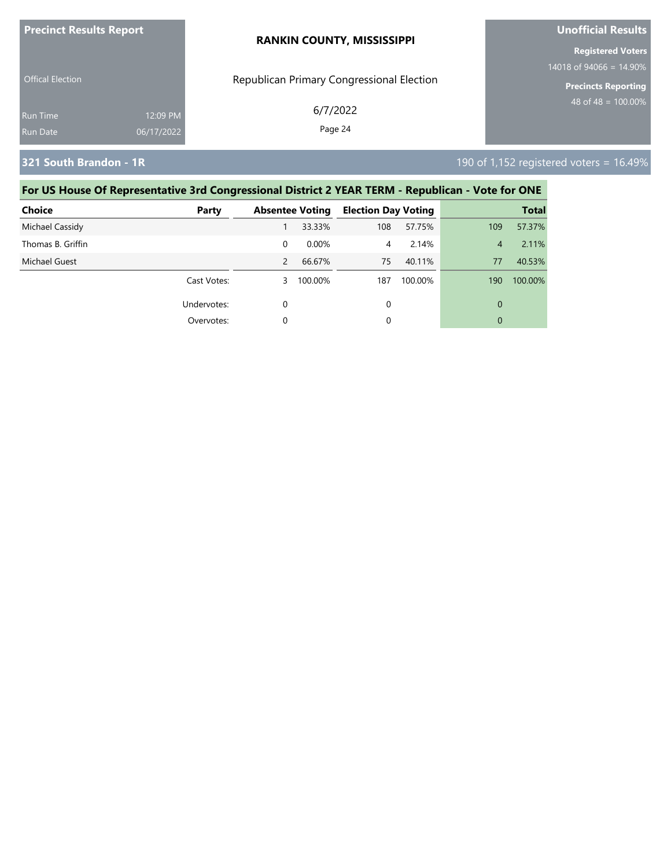| <b>Precinct Results Report</b> |            | <b>RANKIN COUNTY, MISSISSIPPI</b>         | <b>Unofficial Results</b>                               |  |  |
|--------------------------------|------------|-------------------------------------------|---------------------------------------------------------|--|--|
|                                |            |                                           | <b>Registered Voters</b>                                |  |  |
| <b>Offical Election</b>        |            | Republican Primary Congressional Election | $14018$ of 94066 = 14.90%<br><b>Precincts Reporting</b> |  |  |
| <b>Run Time</b>                | 12:09 PM   | 6/7/2022                                  | 48 of 48 = $\overline{100.00\%}$                        |  |  |
| Run Date                       | 06/17/2022 | Page 24                                   |                                                         |  |  |

**321 South Brandon - 1R** 190 of 1,152 registered voters = 16.49%

| <b>Choice</b>     | Party       |   | <b>Absentee Voting</b> | <b>Election Day Voting</b> |         |     | <b>Total</b> |
|-------------------|-------------|---|------------------------|----------------------------|---------|-----|--------------|
| Michael Cassidy   |             |   | 33.33%                 | 108                        | 57.75%  | 109 | 57.37%       |
| Thomas B. Griffin |             | 0 | $0.00\%$               | 4                          | 2.14%   | 4   | 2.11%        |
| Michael Guest     |             | 2 | 66.67%                 | 75                         | 40.11%  | 77  | 40.53%       |
|                   | Cast Votes: | 3 | 100.00%                | 187                        | 100.00% | 190 | 100.00%      |
|                   | Undervotes: | 0 |                        | 0                          |         | 0   |              |
|                   | Overvotes:  | 0 |                        | 0                          |         | 0   |              |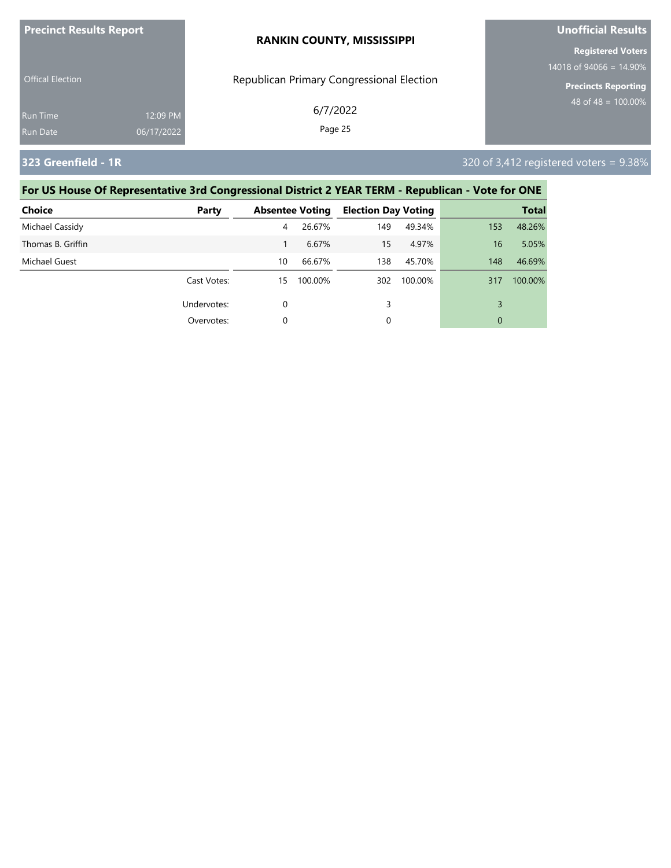| <b>Precinct Results Report</b> |            | <b>RANKIN COUNTY, MISSISSIPPI</b>         | Unofficial Results         |  |  |
|--------------------------------|------------|-------------------------------------------|----------------------------|--|--|
|                                |            |                                           | <b>Registered Voters</b>   |  |  |
|                                |            |                                           | 14018 of 94066 = $14.90\%$ |  |  |
| <b>Offical Election</b>        |            | Republican Primary Congressional Election | <b>Precincts Reporting</b> |  |  |
| <b>Run Time</b>                | 12:09 PM   | 6/7/2022                                  | 48 of 48 = $100.00\%$      |  |  |
| Run Date                       | 06/17/2022 | Page 25                                   |                            |  |  |

**323 Greenfield - 1R** 320 of 3,412 registered voters = 9.38%

| <b>Choice</b>     | Party       |    | <b>Absentee Voting</b> | <b>Election Day Voting</b> |         |     | <b>Total</b> |
|-------------------|-------------|----|------------------------|----------------------------|---------|-----|--------------|
| Michael Cassidy   |             | 4  | 26.67%                 | 149                        | 49.34%  | 153 | 48.26%       |
| Thomas B. Griffin |             |    | 6.67%                  | 15                         | 4.97%   | 16  | 5.05%        |
| Michael Guest     |             | 10 | 66.67%                 | 138                        | 45.70%  | 148 | 46.69%       |
|                   | Cast Votes: | 15 | 100.00%                | 302                        | 100.00% | 317 | 100.00%      |
|                   | Undervotes: | 0  |                        | 3                          |         | 3   |              |
|                   | Overvotes:  | 0  |                        | 0                          |         | 0   |              |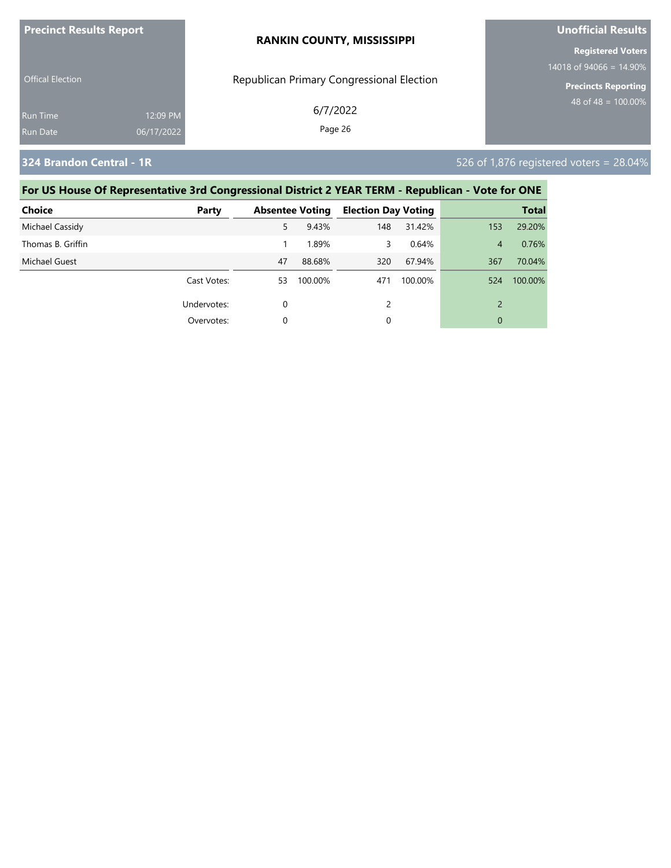| <b>Precinct Results Report</b> |                        | <b>RANKIN COUNTY, MISSISSIPPI</b>         | <b>Unofficial Results</b>                              |  |  |
|--------------------------------|------------------------|-------------------------------------------|--------------------------------------------------------|--|--|
|                                |                        |                                           | <b>Registered Voters</b><br>14018 of 94066 = $14.90\%$ |  |  |
| <b>Offical Election</b>        |                        | Republican Primary Congressional Election | <b>Precincts Reporting</b>                             |  |  |
| <b>Run Time</b><br>Run Date    | 12:09 PM<br>06/17/2022 | 6/7/2022<br>Page 26                       | 48 of 48 = $100.00\%$                                  |  |  |
|                                |                        |                                           |                                                        |  |  |

**324 Brandon Central - 1R** 526 of 1,876 registered voters = 28.04%

| <b>Choice</b>     | Party       |    | <b>Absentee Voting</b> | <b>Election Day Voting</b> |         |                | <b>Total</b> |
|-------------------|-------------|----|------------------------|----------------------------|---------|----------------|--------------|
| Michael Cassidy   |             | 5. | 9.43%                  | 148                        | 31.42%  | 153            | 29.20%       |
| Thomas B. Griffin |             |    | 1.89%                  | 3                          | 0.64%   | 4              | 0.76%        |
| Michael Guest     |             | 47 | 88.68%                 | 320                        | 67.94%  | 367            | 70.04%       |
|                   | Cast Votes: | 53 | 100.00%                | 471                        | 100.00% | 524            | 100.00%      |
|                   | Undervotes: | 0  |                        |                            |         | $\overline{2}$ |              |
|                   | Overvotes:  |    |                        | 0                          |         | 0              |              |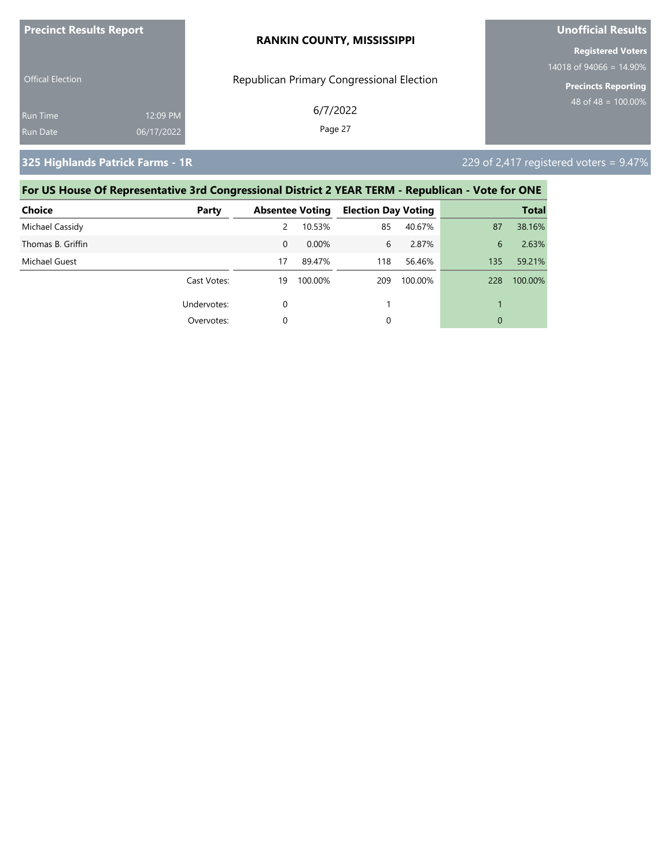| <b>Precinct Results Report</b> |            | <b>RANKIN COUNTY, MISSISSIPPI</b>         | <b>Unofficial Results</b><br><b>Registered Voters</b> |  |  |
|--------------------------------|------------|-------------------------------------------|-------------------------------------------------------|--|--|
|                                |            |                                           |                                                       |  |  |
| <b>Offical Election</b>        |            | Republican Primary Congressional Election | 14018 of 94066 = $14.90\%$<br>Precincts Reporting     |  |  |
|                                |            | 6/7/2022                                  | 48 of 48 = $100.00\%$                                 |  |  |
| <b>Run Time</b>                | 12:09 PM   |                                           |                                                       |  |  |
| <b>Run Date</b>                | 06/17/2022 | Page 27                                   |                                                       |  |  |

**325 Highlands Patrick Farms - 1R** 229 of 2,417 registered voters = 9.47%

| <b>Choice</b>     | Party       |          | <b>Absentee Voting</b> | <b>Election Day Voting</b> |         |     | <b>Total</b> |
|-------------------|-------------|----------|------------------------|----------------------------|---------|-----|--------------|
| Michael Cassidy   |             | 2        | 10.53%                 | 85                         | 40.67%  | 87  | 38.16%       |
| Thomas B. Griffin |             | $\Omega$ | 0.00%                  | 6                          | 2.87%   | 6   | 2.63%        |
| Michael Guest     |             | 17       | 89.47%                 | 118                        | 56.46%  | 135 | 59.21%       |
|                   | Cast Votes: | 19       | 100.00%                | 209                        | 100.00% | 228 | 100.00%      |
|                   | Undervotes: | 0        |                        |                            |         |     |              |
|                   | Overvotes:  | 0        |                        | 0                          |         | 0   |              |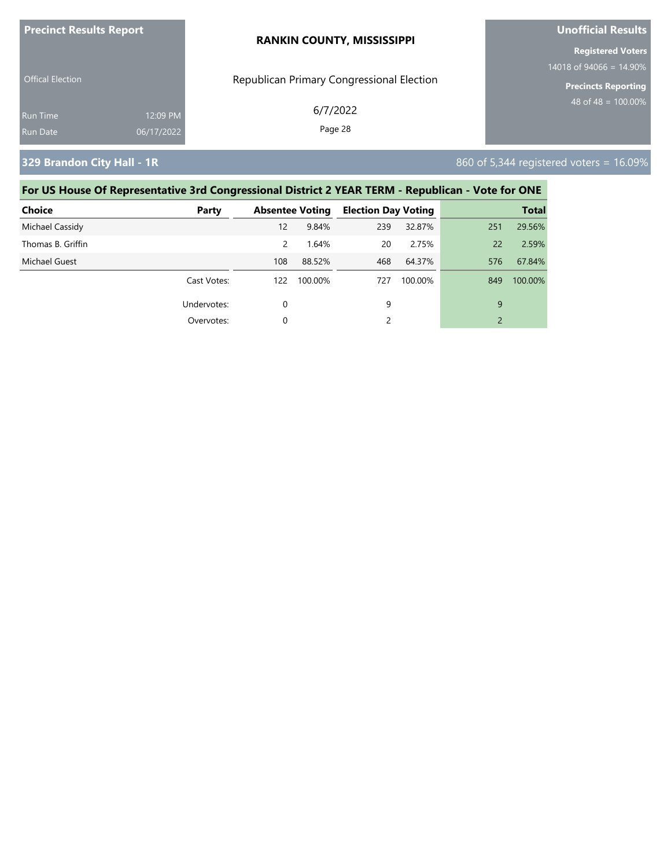| <b>Precinct Results Report</b> |            | <b>RANKIN COUNTY, MISSISSIPPI</b>         | <b>Unofficial Results</b>                              |  |  |
|--------------------------------|------------|-------------------------------------------|--------------------------------------------------------|--|--|
|                                |            |                                           | <b>Registered Voters</b><br>14018 of 94066 = $14.90\%$ |  |  |
| <b>Offical Election</b>        |            | Republican Primary Congressional Election | <b>Precincts Reporting</b>                             |  |  |
| Run Time                       | 12:09 PM   | 6/7/2022                                  | $148$ of 48 = 100.00% ,                                |  |  |
| Run Date                       | 06/17/2022 | Page 28                                   |                                                        |  |  |

**329 Brandon City Hall - 1R** 860 of 5,344 registered voters = 16.09%

| <b>Choice</b>     | Party       |               | <b>Absentee Voting</b> | <b>Election Day Voting</b> |         |                | <b>Total</b> |
|-------------------|-------------|---------------|------------------------|----------------------------|---------|----------------|--------------|
| Michael Cassidy   |             | 12            | 9.84%                  | 239                        | 32.87%  | 251            | 29.56%       |
| Thomas B. Griffin |             | $\mathcal{P}$ | 1.64%                  | 20                         | 2.75%   | 22             | 2.59%        |
| Michael Guest     |             | 108           | 88.52%                 | 468                        | 64.37%  | 576            | 67.84%       |
|                   | Cast Votes: | 122           | 100.00%                | 727                        | 100.00% | 849            | 100.00%      |
|                   | Undervotes: | 0             |                        | 9                          |         | 9              |              |
|                   | Overvotes:  |               |                        |                            |         | $\overline{2}$ |              |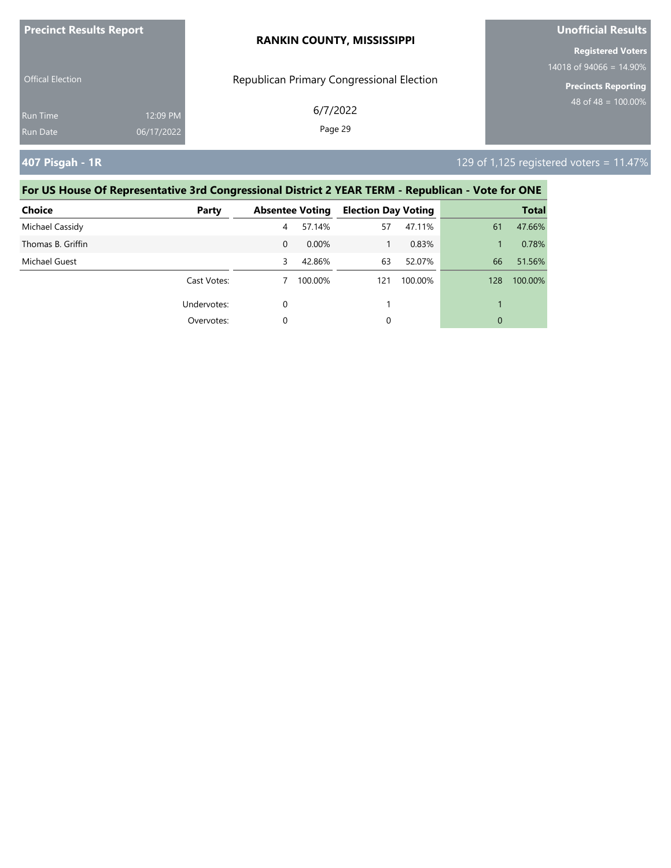| <b>Precinct Results Report</b> |            | <b>RANKIN COUNTY, MISSISSIPPI</b>         | Unofficial Results                                      |  |
|--------------------------------|------------|-------------------------------------------|---------------------------------------------------------|--|
|                                |            |                                           | <b>Registered Voters</b>                                |  |
| <b>Offical Election</b>        |            | Republican Primary Congressional Election | $14018$ of 94066 = 14.90%<br><b>Precincts Reporting</b> |  |
| Run Time                       | 12:09 PM   | 6/7/2022<br>Page 29                       | 48 of 48 = $100.00\%$                                   |  |
| <b>Run Date</b>                | 06/17/2022 |                                           |                                                         |  |

### **407 Pisgah - 1R** 129 of 1,125 registered voters = 11.47%

| <b>Choice</b>     | Party       |          | <b>Absentee Voting</b> | <b>Election Day Voting</b> |         |     | <b>Total</b> |
|-------------------|-------------|----------|------------------------|----------------------------|---------|-----|--------------|
| Michael Cassidy   |             | 4        | 57.14%                 | 57                         | 47.11%  | 61  | 47.66%       |
| Thomas B. Griffin |             | $\Omega$ | 0.00%                  |                            | 0.83%   |     | 0.78%        |
| Michael Guest     |             | 3        | 42.86%                 | 63                         | 52.07%  | 66  | 51.56%       |
|                   | Cast Votes: |          | 100.00%                | 121                        | 100.00% | 128 | 100.00%      |
|                   | Undervotes: | 0        |                        |                            |         |     |              |
|                   | Overvotes:  | 0        |                        | 0                          |         | 0   |              |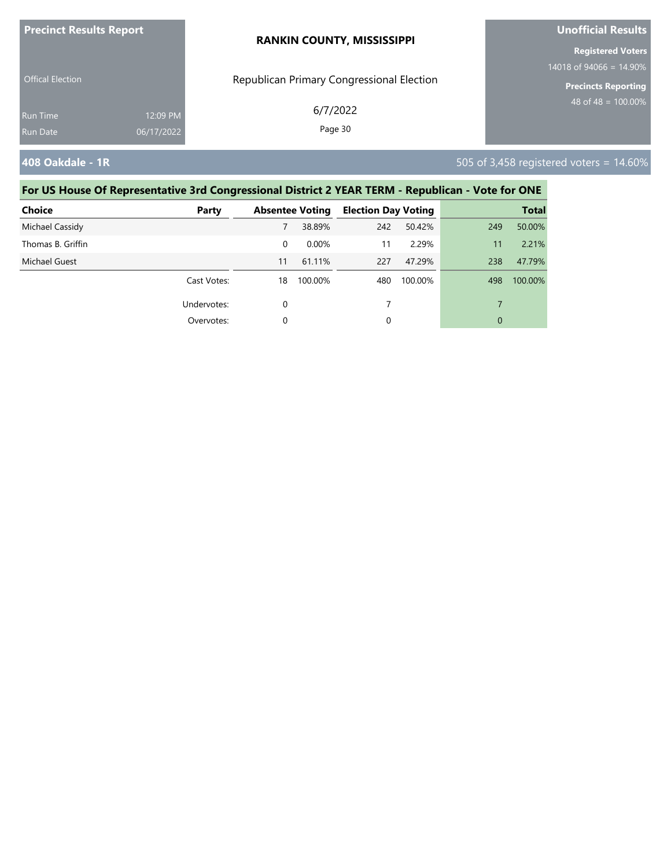| <b>Precinct Results Report</b> |            | <b>RANKIN COUNTY, MISSISSIPPI</b>         | <b>Unofficial Results</b>  |  |  |
|--------------------------------|------------|-------------------------------------------|----------------------------|--|--|
|                                |            |                                           | <b>Registered Voters</b>   |  |  |
|                                |            |                                           | 14018 of 94066 = $14.90\%$ |  |  |
| <b>Offical Election</b>        |            | Republican Primary Congressional Election | <b>Precincts Reporting</b> |  |  |
| <b>Run Time</b>                | 12:09 PM   | 6/7/2022                                  | 48 of 48 = $100.00\%$      |  |  |
| Run Date                       | 06/17/2022 | Page 30                                   |                            |  |  |
|                                |            |                                           |                            |  |  |

**408 Oakdale - 1R** 505 of 3,458 registered voters = 14.60%

| <b>Choice</b>     | Party       |    | <b>Absentee Voting</b> | <b>Election Day Voting</b> |         |     | <b>Total</b> |
|-------------------|-------------|----|------------------------|----------------------------|---------|-----|--------------|
| Michael Cassidy   |             |    | 38.89%                 | 242                        | 50.42%  | 249 | 50.00%       |
| Thomas B. Griffin |             | 0  | $0.00\%$               | 11                         | 2.29%   | 11  | 2.21%        |
| Michael Guest     |             | 11 | 61.11%                 | 227                        | 47.29%  | 238 | 47.79%       |
|                   | Cast Votes: | 18 | 100.00%                | 480                        | 100.00% | 498 | 100.00%      |
|                   | Undervotes: | 0  |                        |                            |         |     |              |
|                   | Overvotes:  | 0  |                        | 0                          |         | 0   |              |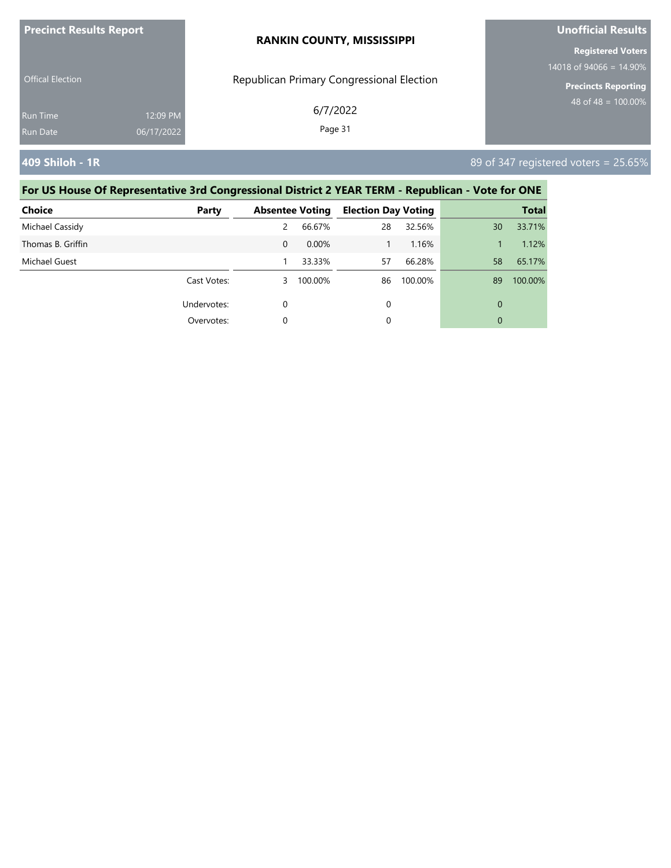| <b>Precinct Results Report</b> |            | <b>RANKIN COUNTY, MISSISSIPPI</b>         | Unofficial Results         |  |
|--------------------------------|------------|-------------------------------------------|----------------------------|--|
|                                |            |                                           | <b>Registered Voters</b>   |  |
| <b>Offical Election</b>        |            | Republican Primary Congressional Election | 14018 of 94066 = $14.90\%$ |  |
|                                |            |                                           | <b>Precincts Reporting</b> |  |
| <b>Run Time</b>                | 12:09 PM   | 6/7/2022                                  | 48 of 48 = $100.00\%$      |  |
| Run Date                       | 06/17/2022 | Page 31                                   |                            |  |

**409 Shiloh - 1R** 89 of 347 registered voters = 25.65%

| <b>Choice</b>     | Party       |          | <b>Absentee Voting</b> | <b>Election Day Voting</b> |         |    | <b>Total</b> |
|-------------------|-------------|----------|------------------------|----------------------------|---------|----|--------------|
| Michael Cassidy   |             | 2        | 66.67%                 | 28                         | 32.56%  | 30 | 33.71%       |
| Thomas B. Griffin |             | $\Omega$ | 0.00%                  |                            | 1.16%   |    | 1.12%        |
| Michael Guest     |             |          | 33.33%                 | 57                         | 66.28%  | 58 | 65.17%       |
|                   | Cast Votes: | 3        | 100.00%                | 86                         | 100.00% | 89 | 100.00%      |
|                   | Undervotes: | 0        |                        | 0                          |         | 0  |              |
|                   | Overvotes:  | 0        |                        | 0                          |         | 0  |              |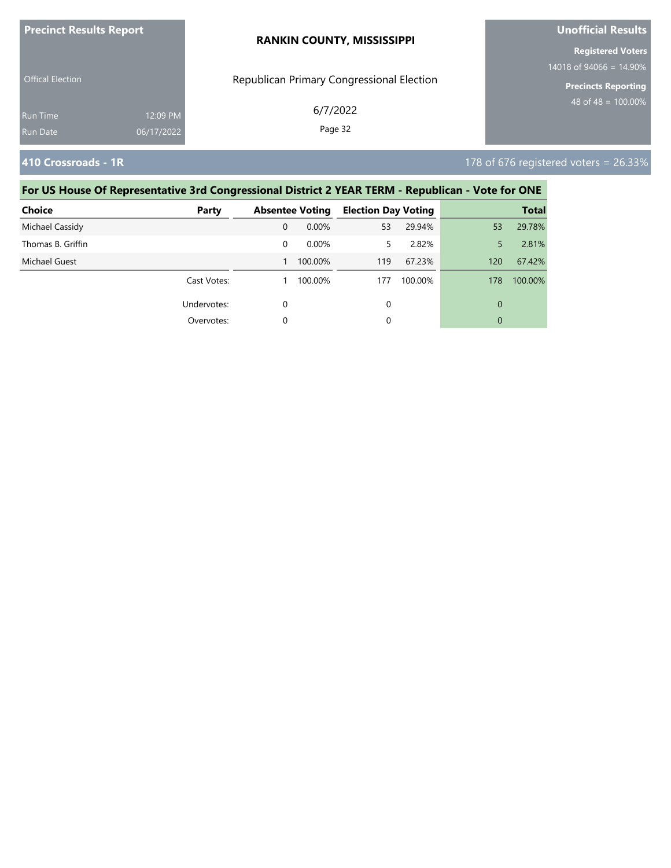| <b>Precinct Results Report</b> |            | <b>RANKIN COUNTY, MISSISSIPPI</b>         | <b>Unofficial Results</b>                                |  |  |
|--------------------------------|------------|-------------------------------------------|----------------------------------------------------------|--|--|
|                                |            |                                           | <b>Registered Voters</b>                                 |  |  |
| <b>Offical Election</b>        |            | Republican Primary Congressional Election | 14018 of 94066 = $14.90\%$<br><b>Precincts Reporting</b> |  |  |
| <b>Run Time</b>                | 12:09 PM   | 6/7/2022                                  | 48 of 48 = $100.00\%$                                    |  |  |
| Run Date                       | 06/17/2022 | Page 32                                   |                                                          |  |  |

**410 Crossroads - 1R** 178 of 676 registered voters = 26.33%

| <b>Choice</b>     | Party       |   | <b>Absentee Voting</b> | <b>Election Day Voting</b> |         |     | <b>Total</b> |
|-------------------|-------------|---|------------------------|----------------------------|---------|-----|--------------|
| Michael Cassidy   |             | 0 | $0.00\%$               | 53                         | 29.94%  | 53  | 29.78%       |
| Thomas B. Griffin |             | 0 | $0.00\%$               | 5                          | 2.82%   | 5   | 2.81%        |
| Michael Guest     |             |   | 100.00%                | 119                        | 67.23%  | 120 | 67.42%       |
|                   | Cast Votes: |   | 100.00%                | 177                        | 100.00% | 178 | 100.00%      |
|                   | Undervotes: | 0 |                        | 0                          |         | 0   |              |
|                   | Overvotes:  | 0 |                        | 0                          |         | 0   |              |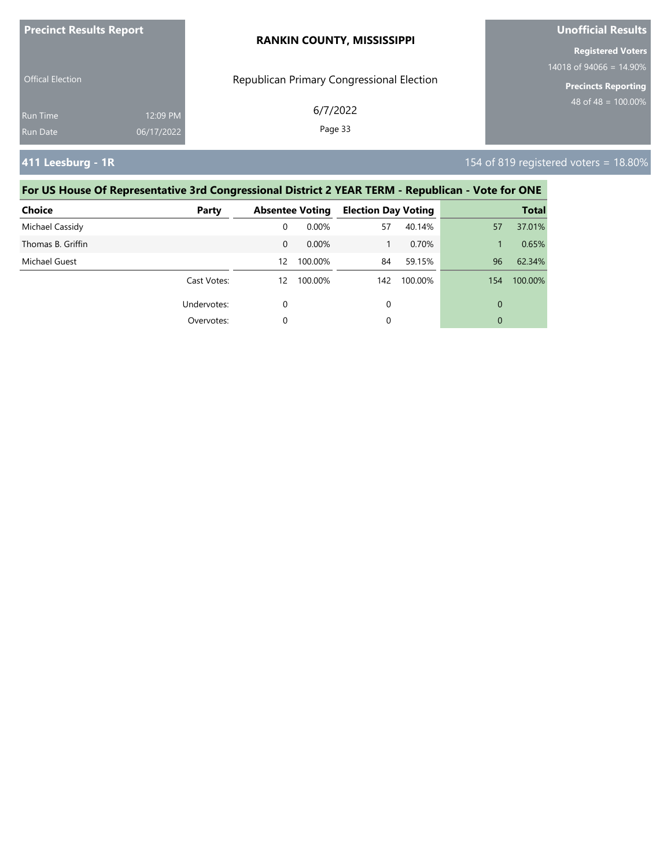| <b>Precinct Results Report</b> |            | <b>RANKIN COUNTY, MISSISSIPPI</b>         | <b>Unofficial Results</b>                              |  |  |
|--------------------------------|------------|-------------------------------------------|--------------------------------------------------------|--|--|
|                                |            |                                           | <b>Registered Voters</b><br>14018 of 94066 = $14.90\%$ |  |  |
| <b>Offical Election</b>        |            | Republican Primary Congressional Election | <b>Precincts Reporting</b>                             |  |  |
| <b>Run Time</b>                | 12:09 PM   | 6/7/2022                                  | 48 of 48 = $100.00\%$                                  |  |  |
| Run Date                       | 06/17/2022 | Page 33                                   |                                                        |  |  |

**411 Leesburg - 1R** 154 of 819 registered voters = 18.80%

| <b>Choice</b>     | Party       |          | <b>Absentee Voting</b> | <b>Election Day Voting</b> |         |     | <b>Total</b> |
|-------------------|-------------|----------|------------------------|----------------------------|---------|-----|--------------|
| Michael Cassidy   |             | 0        | 0.00%                  | 57                         | 40.14%  | 57  | 37.01%       |
| Thomas B. Griffin |             | $\Omega$ | $0.00\%$               |                            | 0.70%   |     | 0.65%        |
| Michael Guest     |             | 12       | 100.00%                | 84                         | 59.15%  | 96  | 62.34%       |
|                   | Cast Votes: | 12       | 100.00%                | 142                        | 100.00% | 154 | 100.00%      |
|                   | Undervotes: | 0        |                        | 0                          |         | 0   |              |
|                   | Overvotes:  | 0        |                        | 0                          |         | 0   |              |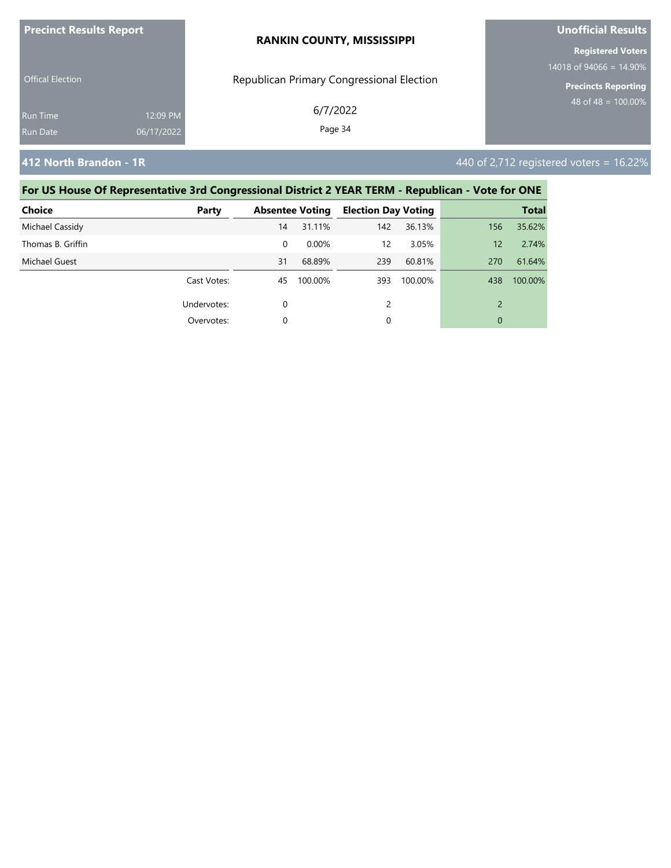| <b>Precinct Results Report</b> |            | <b>RANKIN COUNTY, MISSISSIPPI</b>         | Unofficial Results         |  |
|--------------------------------|------------|-------------------------------------------|----------------------------|--|
|                                |            |                                           | <b>Registered Voters</b>   |  |
|                                |            |                                           | 14018 of 94066 = $14.90\%$ |  |
| <b>Offical Election</b>        |            | Republican Primary Congressional Election | <b>Precincts Reporting</b> |  |
| <b>Run Time</b>                | 12:09 PM   | 6/7/2022                                  | 48 of 48 = $100.00\%$      |  |
| Run Date                       | 06/17/2022 | Page 34                                   |                            |  |

**412 North Brandon - 1R** 440 of 2,712 registered voters = 16.22%

| <b>Choice</b>     | Party       |    | <b>Absentee Voting</b> | <b>Election Day Voting</b> |         |     | <b>Total</b> |
|-------------------|-------------|----|------------------------|----------------------------|---------|-----|--------------|
| Michael Cassidy   |             | 14 | 31.11%                 | 142                        | 36.13%  | 156 | 35.62%       |
| Thomas B. Griffin |             | 0  | 0.00%                  | 12                         | 3.05%   | 12  | 2.74%        |
| Michael Guest     |             | 31 | 68.89%                 | 239                        | 60.81%  | 270 | 61.64%       |
|                   | Cast Votes: | 45 | 100.00%                | 393                        | 100.00% | 438 | 100.00%      |
|                   | Undervotes: | 0  |                        | $\mathcal{P}$              |         |     |              |
|                   | Overvotes:  | 0  |                        | 0                          |         | 0   |              |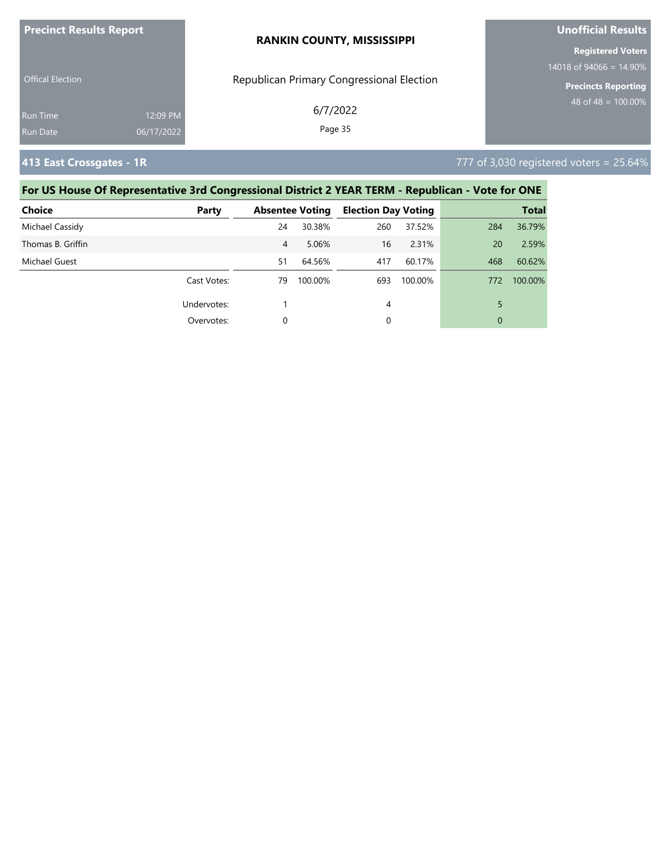| <b>Precinct Results Report</b> |                        | <b>RANKIN COUNTY, MISSISSIPPI</b>         | <b>Unofficial Results</b>                                |  |  |
|--------------------------------|------------------------|-------------------------------------------|----------------------------------------------------------|--|--|
|                                |                        |                                           | <b>Registered Voters</b>                                 |  |  |
| <b>Offical Election</b>        |                        | Republican Primary Congressional Election | 14018 of 94066 = $14.90\%$<br><b>Precincts Reporting</b> |  |  |
| <b>Run Time</b><br>Run Date    | 12:09 PM<br>06/17/2022 | 6/7/2022<br>Page 35                       | 48 of 48 = $100.00\%$                                    |  |  |
|                                |                        |                                           |                                                          |  |  |

**413 East Crossgates - 1R** 777 of 3,030 registered voters = 25.64%

| <b>Choice</b>     | Party       |    | <b>Absentee Voting</b> | <b>Election Day Voting</b> |         |     | <b>Total</b> |
|-------------------|-------------|----|------------------------|----------------------------|---------|-----|--------------|
| Michael Cassidy   |             | 24 | 30.38%                 | 260                        | 37.52%  | 284 | 36.79%       |
| Thomas B. Griffin |             | 4  | 5.06%                  | 16                         | 2.31%   | 20  | 2.59%        |
| Michael Guest     |             | 51 | 64.56%                 | 417                        | 60.17%  | 468 | 60.62%       |
|                   | Cast Votes: | 79 | 100.00%                | 693                        | 100.00% | 772 | 100.00%      |
|                   | Undervotes: |    |                        | 4                          |         | 5   |              |
|                   | Overvotes:  | 0  |                        | 0                          |         | 0   |              |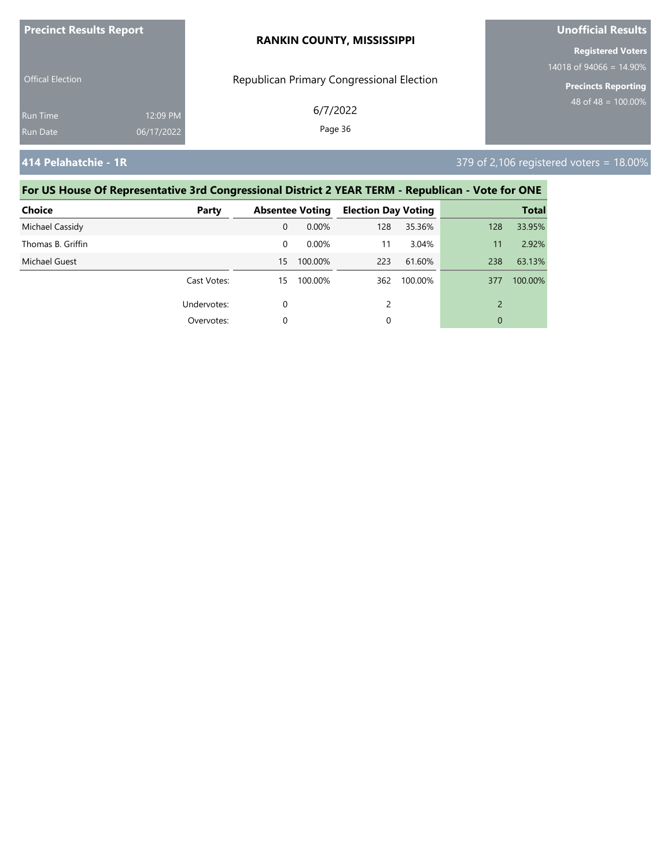| <b>Precinct Results Report</b> |            | <b>RANKIN COUNTY, MISSISSIPPI</b>         | <b>Unofficial Results</b>  |  |  |
|--------------------------------|------------|-------------------------------------------|----------------------------|--|--|
|                                |            |                                           | <b>Registered Voters</b>   |  |  |
|                                |            |                                           | 14018 of 94066 = $14.90\%$ |  |  |
| <b>Offical Election</b>        |            | Republican Primary Congressional Election | <b>Precincts Reporting</b> |  |  |
| Run Time                       | 12:09 PM   | 6/7/2022                                  | 48 of 48 = $100.00\%$      |  |  |
| Run Date                       | 06/17/2022 | Page 36                                   |                            |  |  |
|                                |            |                                           |                            |  |  |

**414 Pelahatchie - 1R** 379 of 2,106 registered voters = 18.00%

| <b>Choice</b>        | Party       |    | <b>Absentee Voting</b> | <b>Election Day Voting</b> |         |     | <b>Total</b> |
|----------------------|-------------|----|------------------------|----------------------------|---------|-----|--------------|
| Michael Cassidy      |             | 0  | 0.00%                  | 128                        | 35.36%  | 128 | 33.95%       |
| Thomas B. Griffin    |             | 0  | $0.00\%$               | 11                         | 3.04%   | 11  | 2.92%        |
| <b>Michael Guest</b> |             | 15 | 100.00%                | 223                        | 61.60%  | 238 | 63.13%       |
|                      | Cast Votes: | 15 | 100.00%                | 362                        | 100.00% | 377 | 100.00%      |
|                      | Undervotes: | 0  |                        | $\mathcal{P}$              |         |     |              |
|                      | Overvotes:  | 0  |                        | 0                          |         | 0   |              |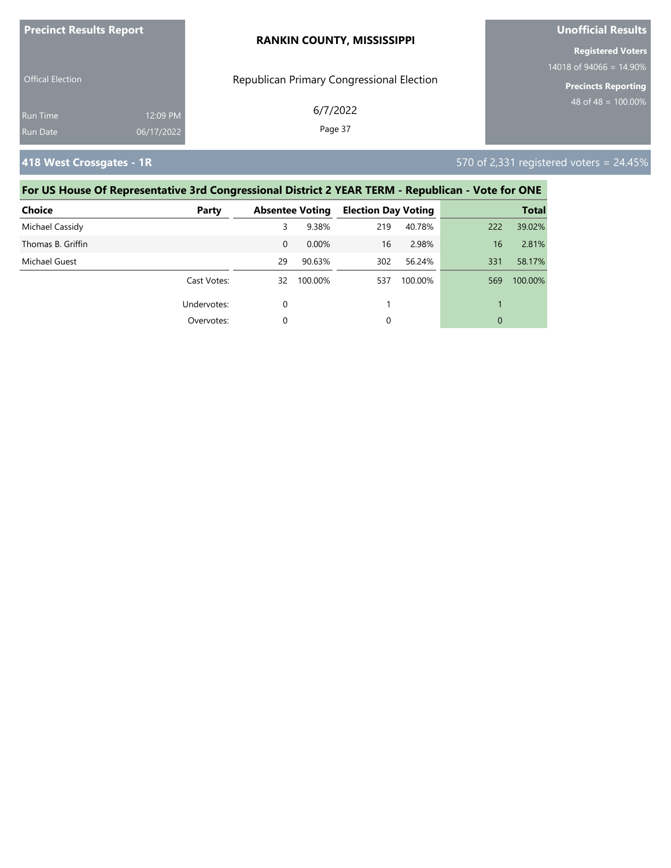| <b>Precinct Results Report</b> |            | <b>RANKIN COUNTY, MISSISSIPPI</b>         | Unofficial Results         |  |
|--------------------------------|------------|-------------------------------------------|----------------------------|--|
|                                |            |                                           | <b>Registered Voters</b>   |  |
|                                |            |                                           | 14018 of 94066 = $14.90\%$ |  |
| <b>Offical Election</b>        |            | Republican Primary Congressional Election | <b>Precincts Reporting</b> |  |
| <b>Run Time</b>                | 12:09 PM   | 6/7/2022                                  | $148$ of 48 = 100.00%      |  |
| Run Date                       | 06/17/2022 | Page 37                                   |                            |  |

**418 West Crossgates - 1R** 570 of 2,331 registered voters = 24.45%

| <b>Choice</b>     | Party       |          | <b>Absentee Voting</b> | <b>Election Day Voting</b> |         |     | <b>Total</b> |
|-------------------|-------------|----------|------------------------|----------------------------|---------|-----|--------------|
| Michael Cassidy   |             | 3        | 9.38%                  | 219                        | 40.78%  | 222 | 39.02%       |
| Thomas B. Griffin |             | 0        | 0.00%                  | 16                         | 2.98%   | 16  | 2.81%        |
| Michael Guest     |             | 29       | 90.63%                 | 302                        | 56.24%  | 331 | 58.17%       |
|                   | Cast Votes: | 32       | 100.00%                | 537                        | 100.00% | 569 | 100.00%      |
|                   | Undervotes: | $\Omega$ |                        |                            |         |     |              |
|                   | Overvotes:  | $\Omega$ |                        | 0                          |         | 0   |              |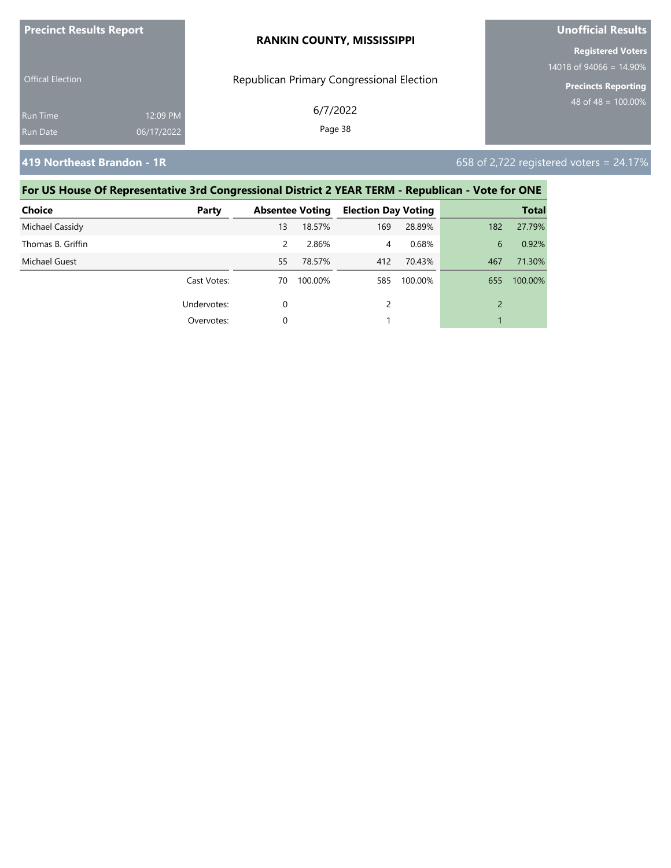| <b>Precinct Results Report</b> |            | <b>RANKIN COUNTY, MISSISSIPPI</b>         | <b>Unofficial Results</b>  |  |
|--------------------------------|------------|-------------------------------------------|----------------------------|--|
|                                |            |                                           | <b>Registered Voters</b>   |  |
| <b>Offical Election</b>        |            |                                           | 14018 of 94066 = $14.90\%$ |  |
|                                |            | Republican Primary Congressional Election | <b>Precincts Reporting</b> |  |
| <b>Run Time</b>                | 12:09 PM   | 6/7/2022                                  | $48$ of 48 = $100.00\%$    |  |
| Run Date                       | 06/17/2022 | Page 38                                   |                            |  |
|                                |            |                                           |                            |  |

**419 Northeast Brandon - 1R 658 of 2,722 registered voters = 24.17%** 

| Choice            | Party       |               | <b>Absentee Voting</b> | <b>Election Day Voting</b> |         |                | <b>Total</b> |
|-------------------|-------------|---------------|------------------------|----------------------------|---------|----------------|--------------|
| Michael Cassidy   |             | 13            | 18.57%                 | 169                        | 28.89%  | 182            | 27.79%       |
| Thomas B. Griffin |             | $\mathcal{P}$ | 2.86%                  | 4                          | 0.68%   | 6              | 0.92%        |
| Michael Guest     |             | 55            | 78.57%                 | 412                        | 70.43%  | 467            | 71.30%       |
|                   | Cast Votes: | 70            | 100.00%                | 585                        | 100.00% | 655            | 100.00%      |
|                   | Undervotes: | 0             |                        |                            |         | $\overline{2}$ |              |
|                   | Overvotes:  |               |                        |                            |         |                |              |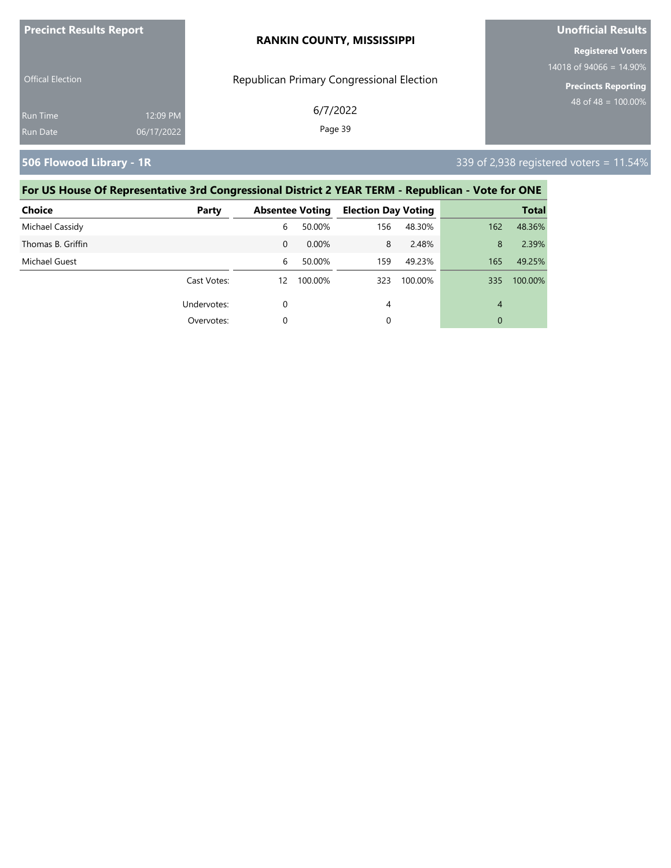| <b>Precinct Results Report</b> |            | <b>RANKIN COUNTY, MISSISSIPPI</b>         | <b>Unofficial Results</b>                              |  |  |
|--------------------------------|------------|-------------------------------------------|--------------------------------------------------------|--|--|
|                                |            |                                           | <b>Registered Voters</b><br>14018 of 94066 = $14.90\%$ |  |  |
| <b>Offical Election</b>        |            | Republican Primary Congressional Election | <b>Precincts Reporting</b>                             |  |  |
| <b>Run Time</b>                | 12:09 PM   | 6/7/2022                                  | 48 of 48 = $\overline{100.00\%}$                       |  |  |
| Run Date                       | 06/17/2022 | Page 39                                   |                                                        |  |  |

**506 Flowood Library - 1R** 339 of 2,938 registered voters = 11.54%

| <b>Choice</b>     | Party       |          | <b>Absentee Voting</b> | <b>Election Day Voting</b> |         |     | <b>Total</b> |
|-------------------|-------------|----------|------------------------|----------------------------|---------|-----|--------------|
| Michael Cassidy   |             | 6        | 50.00%                 | 156                        | 48.30%  | 162 | 48.36%       |
| Thomas B. Griffin |             | $\Omega$ | 0.00%                  | 8                          | 2.48%   | 8   | 2.39%        |
| Michael Guest     |             | 6        | 50.00%                 | 159                        | 49.23%  | 165 | 49.25%       |
|                   | Cast Votes: | 12       | 100.00%                | 323                        | 100.00% | 335 | 100.00%      |
|                   | Undervotes: | 0        |                        | 4                          |         | 4   |              |
|                   | Overvotes:  | 0        |                        | 0                          |         | 0   |              |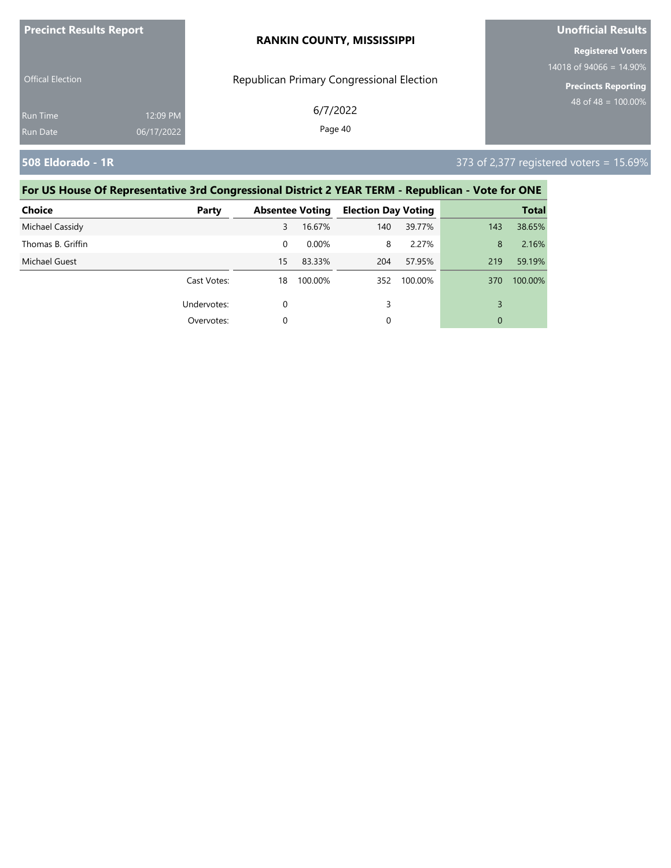| <b>Precinct Results Report</b> |            | <b>RANKIN COUNTY, MISSISSIPPI</b>         | <b>Unofficial Results</b>  |  |  |
|--------------------------------|------------|-------------------------------------------|----------------------------|--|--|
|                                |            |                                           | <b>Registered Voters</b>   |  |  |
|                                |            |                                           | 14018 of 94066 = $14.90\%$ |  |  |
| <b>Offical Election</b>        |            | Republican Primary Congressional Election | <b>Precincts Reporting</b> |  |  |
| <b>Run Time</b>                | 12:09 PM   | 6/7/2022                                  | 48 of 48 = $100.00\%$      |  |  |
| <b>Run Date</b>                | 06/17/2022 | Page 40                                   |                            |  |  |
|                                |            |                                           |                            |  |  |

### **508 Eldorado - 1R** 373 of 2,377 registered voters = 15.69%

| <b>Choice</b>     | Party       |    | <b>Absentee Voting</b> | <b>Election Day Voting</b> |         |     | <b>Total</b> |
|-------------------|-------------|----|------------------------|----------------------------|---------|-----|--------------|
| Michael Cassidy   |             | 3  | 16.67%                 | 140                        | 39.77%  | 143 | 38.65%       |
| Thomas B. Griffin |             | 0  | $0.00\%$               | 8                          | 2.27%   | 8   | 2.16%        |
| Michael Guest     |             | 15 | 83.33%                 | 204                        | 57.95%  | 219 | 59.19%       |
|                   | Cast Votes: | 18 | 100.00%                | 352                        | 100.00% | 370 | 100.00%      |
|                   | Undervotes: | 0  |                        | 3                          |         | 3   |              |
|                   | Overvotes:  |    |                        | 0                          |         | 0   |              |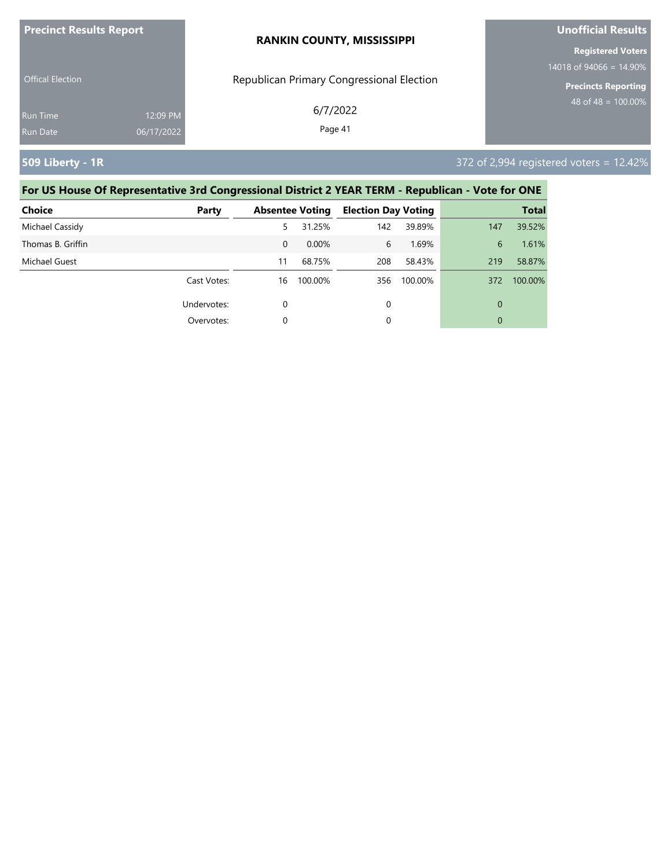| <b>Precinct Results Report</b> |            | <b>RANKIN COUNTY, MISSISSIPPI</b>         | Unofficial Results         |  |
|--------------------------------|------------|-------------------------------------------|----------------------------|--|
|                                |            |                                           | <b>Registered Voters</b>   |  |
|                                |            |                                           | 14018 of 94066 = $14.90\%$ |  |
| <b>Offical Election</b>        |            | Republican Primary Congressional Election | <b>Precincts Reporting</b> |  |
| <b>Run Time</b>                | 12:09 PM   | 6/7/2022                                  | 48 of 48 = $100.00\%$      |  |
| <b>Run Date</b>                | 06/17/2022 | Page 41                                   |                            |  |
|                                |            |                                           |                            |  |

### **509 Liberty - 1R** 372 of 2,994 registered voters = 12.42%

| <b>Choice</b>     | Party       |          | <b>Absentee Voting</b> | <b>Election Day Voting</b> |         |     | <b>Total</b> |
|-------------------|-------------|----------|------------------------|----------------------------|---------|-----|--------------|
| Michael Cassidy   |             | 5.       | 31.25%                 | 142                        | 39.89%  | 147 | 39.52%       |
| Thomas B. Griffin |             | $\Omega$ | 0.00%                  | 6                          | 1.69%   | 6   | 1.61%        |
| Michael Guest     |             | 11       | 68.75%                 | 208                        | 58.43%  | 219 | 58.87%       |
|                   | Cast Votes: | 16       | 100.00%                | 356                        | 100.00% | 372 | 100.00%      |
|                   | Undervotes: | 0        |                        | 0                          |         | 0   |              |
|                   | Overvotes:  | 0        |                        | 0                          |         | 0   |              |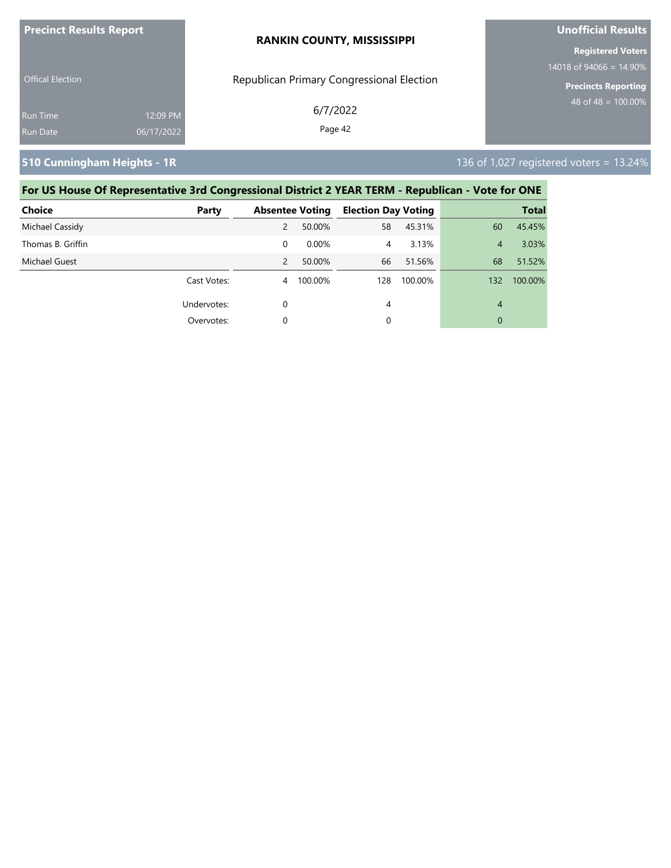| <b>Precinct Results Report</b> |            | <b>RANKIN COUNTY, MISSISSIPPI</b>         | <b>Unofficial Results</b>  |  |
|--------------------------------|------------|-------------------------------------------|----------------------------|--|
|                                |            |                                           | <b>Registered Voters</b>   |  |
|                                |            |                                           | 14018 of 94066 = $14.90\%$ |  |
| <b>Offical Election</b>        |            | Republican Primary Congressional Election | <b>Precincts Reporting</b> |  |
| <b>Run Time</b>                | 12:09 PM   | 6/7/2022                                  | 48 of 48 = $100.00\%$      |  |
| <b>Run Date</b>                | 06/17/2022 | Page 42                                   |                            |  |
|                                |            |                                           |                            |  |

**510 Cunningham Heights - 1R** 136 of 1,027 registered voters = 13.24%

| <b>Choice</b>     | Party       |   | <b>Absentee Voting</b> | <b>Election Day Voting</b> |         |     | <b>Total</b> |
|-------------------|-------------|---|------------------------|----------------------------|---------|-----|--------------|
| Michael Cassidy   |             | 2 | 50.00%                 | 58                         | 45.31%  | 60  | 45.45%       |
| Thomas B. Griffin |             | 0 | $0.00\%$               | 4                          | 3.13%   | 4   | 3.03%        |
| Michael Guest     |             | 2 | 50.00%                 | 66                         | 51.56%  | 68  | 51.52%       |
|                   | Cast Votes: | 4 | 100.00%                | 128                        | 100.00% | 132 | 100.00%      |
|                   | Undervotes: | 0 |                        | 4                          |         | 4   |              |
|                   | Overvotes:  | 0 |                        | 0                          |         | 0   |              |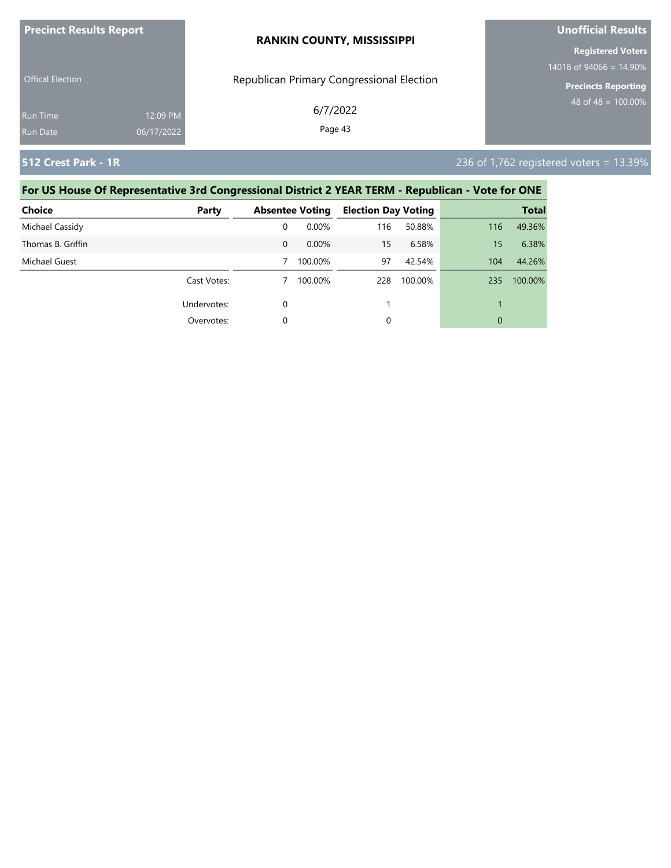| <b>Precinct Results Report</b> |                        | <b>RANKIN COUNTY, MISSISSIPPI</b>         | Unofficial Results                                       |  |  |
|--------------------------------|------------------------|-------------------------------------------|----------------------------------------------------------|--|--|
|                                |                        |                                           | <b>Registered Voters</b>                                 |  |  |
| <b>Offical Election</b>        |                        | Republican Primary Congressional Election | 14018 of 94066 = $14.90\%$<br><b>Precincts Reporting</b> |  |  |
| Run Time<br>Run Date           | 12:09 PM<br>06/17/2022 | 6/7/2022<br>Page 43                       | 48 of 48 = $100.00\%$                                    |  |  |
|                                |                        |                                           |                                                          |  |  |

**512 Crest Park - 1R** 236 of 1,762 registered voters = 13.39%

| <b>Choice</b>     | Party       |          | <b>Absentee Voting</b> | <b>Election Day Voting</b> |         |     | <b>Total</b> |
|-------------------|-------------|----------|------------------------|----------------------------|---------|-----|--------------|
| Michael Cassidy   |             | 0        | 0.00%                  | 116                        | 50.88%  | 116 | 49.36%       |
| Thomas B. Griffin |             | $\Omega$ | 0.00%                  | 15                         | 6.58%   | 15  | 6.38%        |
| Michael Guest     |             |          | 100.00%                | 97                         | 42.54%  | 104 | 44.26%       |
|                   | Cast Votes: |          | 100.00%                | 228                        | 100.00% | 235 | 100.00%      |
|                   | Undervotes: | 0        |                        |                            |         |     |              |
|                   | Overvotes:  | 0        |                        | 0                          |         | 0   |              |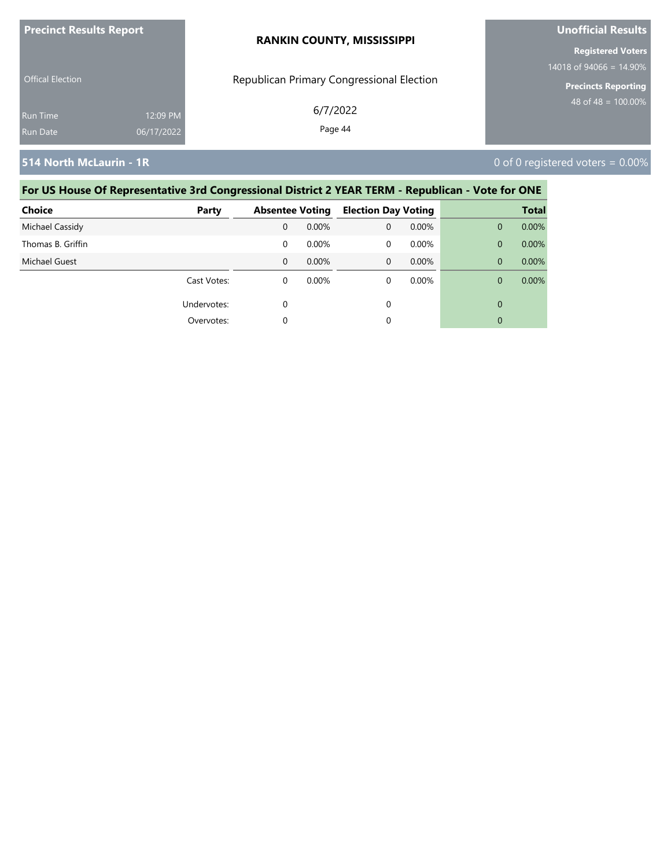| <b>Precinct Results Report</b> |            | <b>RANKIN COUNTY, MISSISSIPPI</b>         | <b>Unofficial Results</b>                              |  |  |
|--------------------------------|------------|-------------------------------------------|--------------------------------------------------------|--|--|
|                                |            |                                           | <b>Registered Voters</b><br>14018 of 94066 = $14.90\%$ |  |  |
| <b>Offical Election</b>        |            | Republican Primary Congressional Election | <b>Precincts Reporting</b>                             |  |  |
| <b>Run Time</b>                | 12:09 PM   | 6/7/2022                                  | 48 of 48 = $100.00\%$                                  |  |  |
| Run Date                       | 06/17/2022 | Page 44                                   |                                                        |  |  |

**514 North McLaurin - 1R** 0 of 0 registered voters = 0.00%

| <b>Choice</b>     | Party       | <b>Absentee Voting</b> |          | <b>Election Day Voting</b> |          |              | <b>Total</b> |
|-------------------|-------------|------------------------|----------|----------------------------|----------|--------------|--------------|
| Michael Cassidy   |             | 0                      | $0.00\%$ | 0                          | $0.00\%$ | $\mathbf{0}$ | 0.00%        |
| Thomas B. Griffin |             | 0                      | $0.00\%$ | 0                          | 0.00%    | $\mathbf{0}$ | 0.00%        |
| Michael Guest     |             | $\Omega$               | $0.00\%$ | 0                          | $0.00\%$ | $\Omega$     | $0.00\%$     |
|                   | Cast Votes: | 0                      | $0.00\%$ | 0                          | $0.00\%$ | $\Omega$     | $0.00\%$     |
|                   | Undervotes: | $\mathbf 0$            |          | 0                          |          | $\mathbf{0}$ |              |
|                   | Overvotes:  | 0                      |          | 0                          |          | $\mathbf{0}$ |              |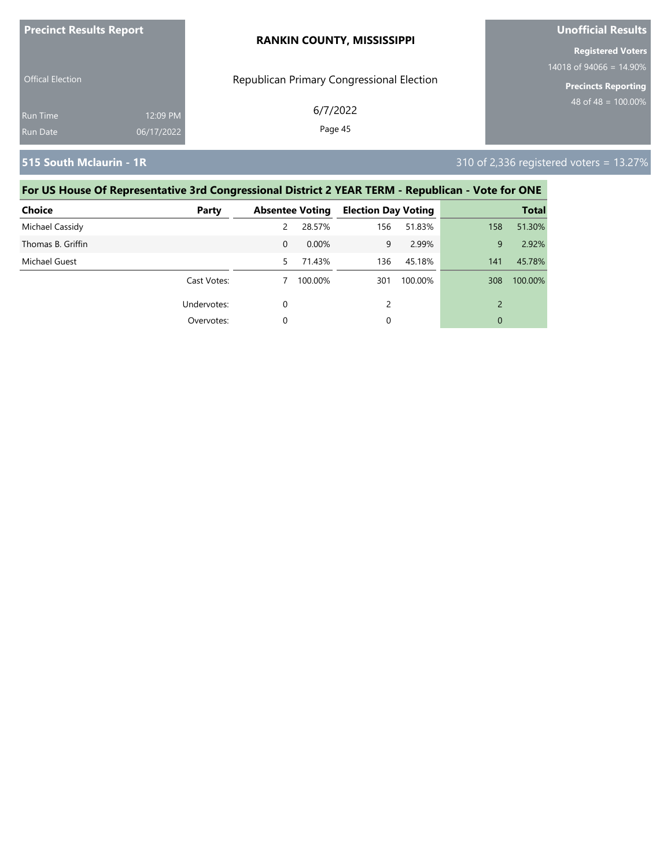| <b>Precinct Results Report</b> |            | <b>RANKIN COUNTY, MISSISSIPPI</b>         | <b>Unofficial Results</b>                              |  |
|--------------------------------|------------|-------------------------------------------|--------------------------------------------------------|--|
|                                |            |                                           | <b>Registered Voters</b><br>14018 of 94066 = $14.90\%$ |  |
| <b>Offical Election</b>        |            | Republican Primary Congressional Election | <b>Precincts Reporting</b>                             |  |
| Run Time                       | 12:09 PM   | 6/7/2022                                  | 48 of 48 = $100.00\%$                                  |  |
| <b>Run Date</b>                | 06/17/2022 | Page 45                                   |                                                        |  |

**515 South Mclaurin - 1R** 310 of 2,336 registered voters = 13.27%

| <b>Choice</b>     | Party       |          | <b>Absentee Voting</b> | <b>Election Day Voting</b> |         |     | <b>Total</b> |
|-------------------|-------------|----------|------------------------|----------------------------|---------|-----|--------------|
| Michael Cassidy   |             | 2        | 28.57%                 | 156                        | 51.83%  | 158 | 51.30%       |
| Thomas B. Griffin |             | $\Omega$ | 0.00%                  | 9                          | 2.99%   | 9   | 2.92%        |
| Michael Guest     |             | 5.       | 71.43%                 | 136                        | 45.18%  | 141 | 45.78%       |
|                   | Cast Votes: |          | 100.00%                | 301                        | 100.00% | 308 | 100.00%      |
|                   | Undervotes: | 0        |                        | 2                          |         |     |              |
|                   | Overvotes:  | 0        |                        | 0                          |         | 0   |              |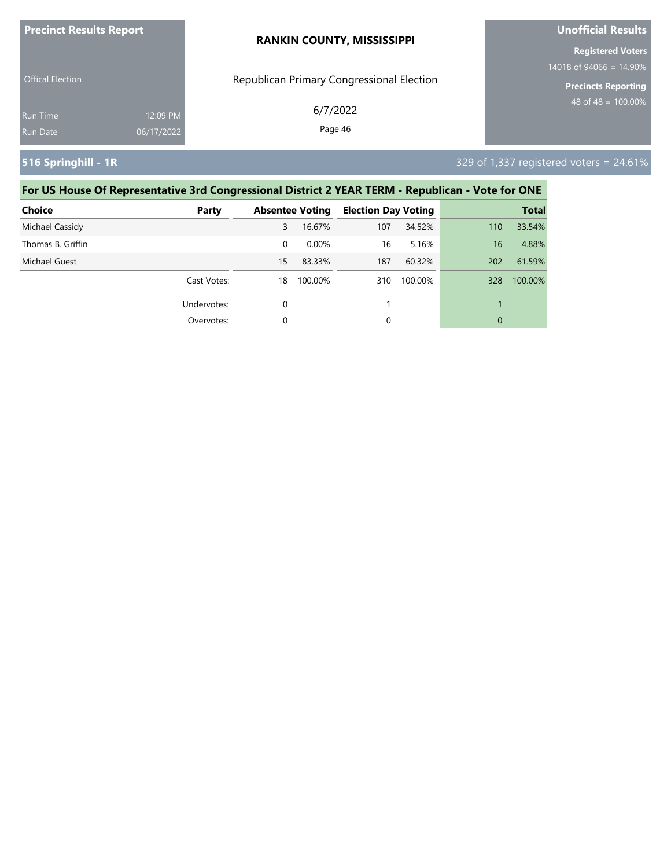| <b>Precinct Results Report</b> |            | <b>RANKIN COUNTY, MISSISSIPPI</b>         | <b>Unofficial Results</b>       |  |
|--------------------------------|------------|-------------------------------------------|---------------------------------|--|
|                                |            |                                           | <b>Registered Voters</b>        |  |
|                                |            |                                           | 14018 of 94066 = $14.90\%$      |  |
| <b>Offical Election</b>        |            | Republican Primary Congressional Election | <b>Precincts Reporting</b>      |  |
| Run Time                       | 12:09 PM   | 6/7/2022                                  | 48 of $\overline{48}$ = 100.00% |  |
| Run Date                       | 06/17/2022 | Page 46                                   |                                 |  |
|                                |            |                                           |                                 |  |

**516 Springhill - 1R** 329 of 1,337 registered voters = 24.61%

| <b>Choice</b>        | Party       |          | <b>Absentee Voting</b> | <b>Election Day Voting</b> |         |     | <b>Total</b> |
|----------------------|-------------|----------|------------------------|----------------------------|---------|-----|--------------|
| Michael Cassidy      |             | 3        | 16.67%                 | 107                        | 34.52%  | 110 | 33.54%       |
| Thomas B. Griffin    |             | $\Omega$ | $0.00\%$               | 16                         | 5.16%   | 16  | 4.88%        |
| <b>Michael Guest</b> |             | 15       | 83.33%                 | 187                        | 60.32%  | 202 | 61.59%       |
|                      | Cast Votes: | 18       | 100.00%                | 310                        | 100.00% | 328 | 100.00%      |
|                      | Undervotes: | $\Omega$ |                        |                            |         |     |              |
|                      | Overvotes:  | $\Omega$ |                        | 0                          |         | 0   |              |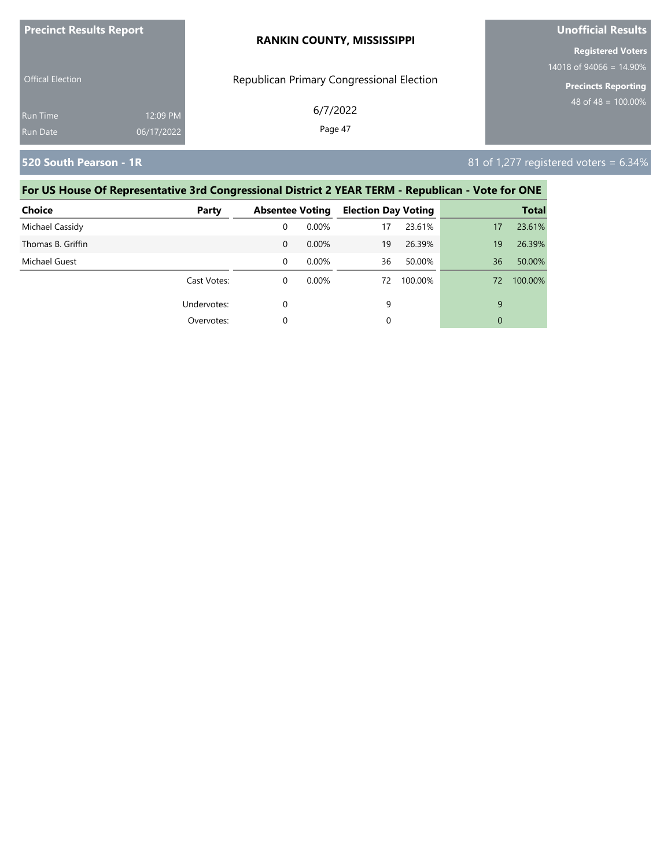| <b>Precinct Results Report</b> |            | <b>RANKIN COUNTY, MISSISSIPPI</b>         | <b>Unofficial Results</b>                              |  |  |
|--------------------------------|------------|-------------------------------------------|--------------------------------------------------------|--|--|
|                                |            |                                           | <b>Registered Voters</b><br>14018 of 94066 = $14.90\%$ |  |  |
| <b>Offical Election</b>        |            | Republican Primary Congressional Election | <b>Precincts Reporting</b>                             |  |  |
| Run Time                       | 12:09 PM   | 6/7/2022                                  | 48 of 48 = $\overline{100.00\%}$                       |  |  |
| Run Date                       | 06/17/2022 | Page 47                                   |                                                        |  |  |

**520 South Pearson - 1R** 81 of 1,277 registered voters = 6.34%

| <b>Choice</b>     | Party       | <b>Absentee Voting</b> |          | <b>Election Day Voting</b> |         |    | <b>Total</b> |
|-------------------|-------------|------------------------|----------|----------------------------|---------|----|--------------|
| Michael Cassidy   |             | 0                      | 0.00%    | 17                         | 23.61%  | 17 | 23.61%       |
| Thomas B. Griffin |             | $\Omega$               | 0.00%    | 19                         | 26.39%  | 19 | 26.39%       |
| Michael Guest     |             | 0                      | 0.00%    | 36                         | 50.00%  | 36 | 50.00%       |
|                   | Cast Votes: | 0                      | $0.00\%$ | 72                         | 100.00% | 72 | 100.00%      |
|                   | Undervotes: | 0                      |          | 9                          |         | 9  |              |
|                   | Overvotes:  | 0                      |          | 0                          |         | 0  |              |